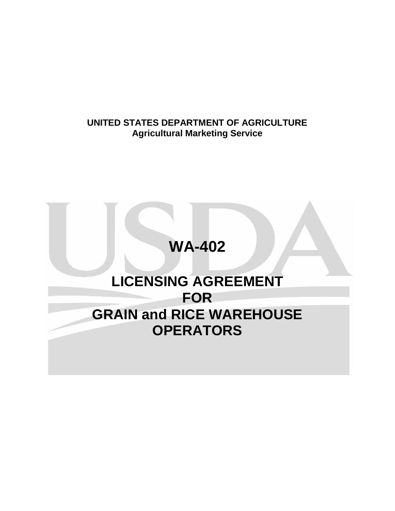# **UNITED STATES DEPARTMENT OF AGRICULTURE Agricultural Marketing Service**

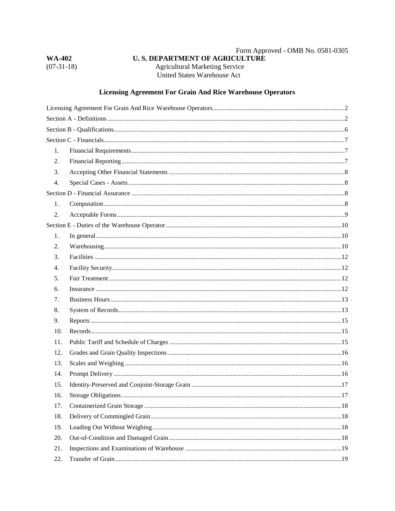| <b>WA-402</b> |  |  |
|---------------|--|--|
| $(07-31-18)$  |  |  |

 $\label{eq:form:Form:Form:1} \textbf{Form A  
proved - OMB No. 0581-0305}$  <br> U. S. DEPARTMENT OF AGRICULTURE **Agricultural Marketing Service** United States Warehouse Act

## **Licensing Agreement For Grain And Rice Warehouse Operators**

| 1.  |  |
|-----|--|
| 2.  |  |
| 3.  |  |
| 4.  |  |
|     |  |
| 1.  |  |
| 2.  |  |
|     |  |
| 1.  |  |
| 2.  |  |
| 3.  |  |
| 4.  |  |
| 5.  |  |
| 6.  |  |
| 7.  |  |
| 8.  |  |
| 9.  |  |
| 10. |  |
| 11. |  |
| 12. |  |
| 13. |  |
| 14. |  |
| 15. |  |
| 16. |  |
| 17. |  |
| 18. |  |
| 19. |  |
| 20. |  |
| 21. |  |
| 22. |  |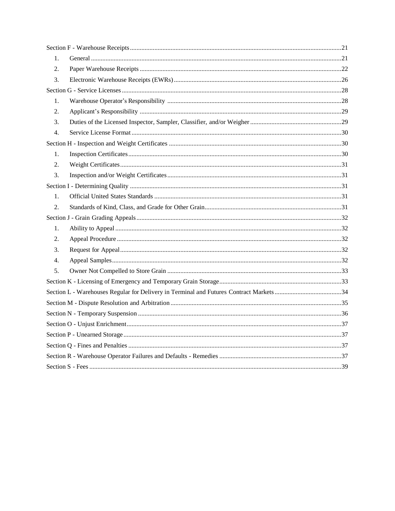| 1. |  |  |  |  |
|----|--|--|--|--|
| 2. |  |  |  |  |
| 3. |  |  |  |  |
|    |  |  |  |  |
| 1. |  |  |  |  |
| 2. |  |  |  |  |
| 3. |  |  |  |  |
| 4. |  |  |  |  |
|    |  |  |  |  |
| 1. |  |  |  |  |
| 2. |  |  |  |  |
| 3. |  |  |  |  |
|    |  |  |  |  |
| 1. |  |  |  |  |
| 2. |  |  |  |  |
|    |  |  |  |  |
| 1. |  |  |  |  |
| 2. |  |  |  |  |
| 3. |  |  |  |  |
| 4. |  |  |  |  |
| 5. |  |  |  |  |
|    |  |  |  |  |
|    |  |  |  |  |
|    |  |  |  |  |
|    |  |  |  |  |
|    |  |  |  |  |
|    |  |  |  |  |
|    |  |  |  |  |
|    |  |  |  |  |
|    |  |  |  |  |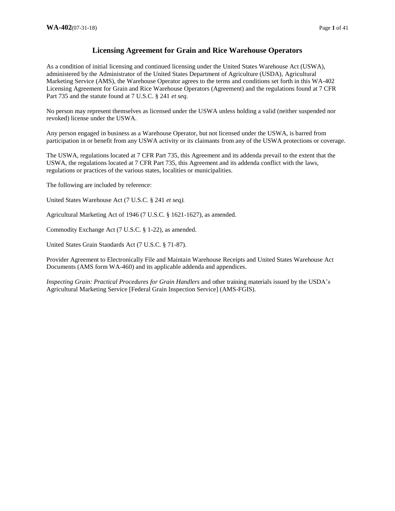## **Licensing Agreement for Grain and Rice Warehouse Operators**

As a condition of initial licensing and continued licensing under the United States Warehouse Act (USWA), administered by the Administrator of the United States Department of Agriculture (USDA), Agricultural Marketing Service (AMS), the Warehouse Operator agrees to the terms and conditions set forth in this WA-402 Licensing Agreement for Grain and Rice Warehouse Operators (Agreement) and the regulations found at 7 CFR Part 735 and the statute found at 7 U.S.C. § 241 *et seq*.

No person may represent themselves as licensed under the USWA unless holding a valid (neither suspended nor revoked) license under the USWA.

Any person engaged in business as a Warehouse Operator, but not licensed under the USWA, is barred from participation in or benefit from any USWA activity or its claimants from any of the USWA protections or coverage.

The USWA, regulations located at 7 CFR Part 735, this Agreement and its addenda prevail to the extent that the USWA, the regulations located at 7 CFR Part 735, this Agreement and its addenda conflict with the laws, regulations or practices of the various states, localities or municipalities.

The following are included by reference:

United States Warehouse Act (7 U.S.C. § 241 *et seq).* 

Agricultural Marketing Act of 1946 (7 U.S.C. § 1621-1627), as amended.

Commodity Exchange Act (7 U.S.C. § 1-22), as amended.

United States Grain Standards Act (7 U.S.C. § 71-87).

Provider Agreement to Electronically File and Maintain Warehouse Receipts and United States Warehouse Act Documents (AMS form WA-460) and its applicable addenda and appendices.

*Inspecting Grain: Practical Procedures for Grain Handlers* and other training materials issued by the USDA's Agricultural Marketing Service [Federal Grain Inspection Service] (AMS-FGIS).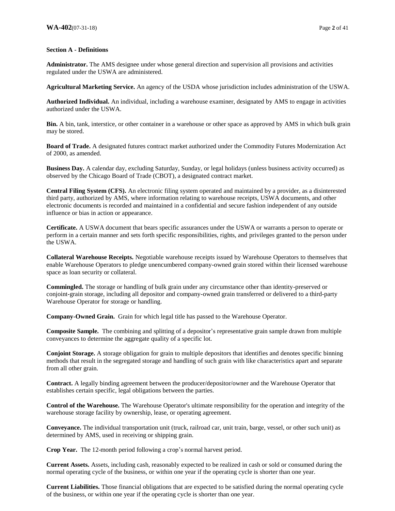## **Section A - Definitions**

**Administrator.** The AMS designee under whose general direction and supervision all provisions and activities regulated under the USWA are administered.

**Agricultural Marketing Service.** An agency of the USDA whose jurisdiction includes administration of the USWA.

**Authorized Individual.** An individual, including a warehouse examiner, designated by AMS to engage in activities authorized under the USWA.

**Bin.** A bin, tank, interstice, or other container in a warehouse or other space as approved by AMS in which bulk grain may be stored.

**Board of Trade.** A designated futures contract market authorized under the Commodity Futures Modernization Act of 2000, as amended.

**Business Day.** A calendar day, excluding Saturday, Sunday, or legal holidays (unless business activity occurred) as observed by the Chicago Board of Trade (CBOT), a designated contract market.

**Central Filing System (CFS).** An electronic filing system operated and maintained by a provider, as a disinterested third party, authorized by AMS, where information relating to warehouse receipts, USWA documents, and other electronic documents is recorded and maintained in a confidential and secure fashion independent of any outside influence or bias in action or appearance.

**Certificate.** A USWA document that bears specific assurances under the USWA or warrants a person to operate or perform in a certain manner and sets forth specific responsibilities, rights, and privileges granted to the person under the USWA.

**Collateral Warehouse Receipts.** Negotiable warehouse receipts issued by Warehouse Operators to themselves that enable Warehouse Operators to pledge unencumbered company-owned grain stored within their licensed warehouse space as loan security or collateral.

**Commingled.** The storage or handling of bulk grain under any circumstance other than identity-preserved or conjoint-grain storage, including all depositor and company-owned grain transferred or delivered to a third-party Warehouse Operator for storage or handling.

**Company-Owned Grain.** Grain for which legal title has passed to the Warehouse Operator.

**Composite Sample.** The combining and splitting of a depositor's representative grain sample drawn from multiple conveyances to determine the aggregate quality of a specific lot.

**Conjoint Storage.** A storage obligation for grain to multiple depositors that identifies and denotes specific binning methods that result in the segregated storage and handling of such grain with like characteristics apart and separate from all other grain.

**Contract.** A legally binding agreement between the producer/depositor/owner and the Warehouse Operator that establishes certain specific, legal obligations between the parties.

**Control of the Warehouse.** The Warehouse Operator's ultimate responsibility for the operation and integrity of the warehouse storage facility by ownership, lease, or operating agreement.

**Conveyance.** The individual transportation unit (truck, railroad car, unit train, barge, vessel, or other such unit) as determined by AMS, used in receiving or shipping grain.

**Crop Year.** The 12-month period following a crop's normal harvest period.

**Current Assets.** Assets, including cash, reasonably expected to be realized in cash or sold or consumed during the normal operating cycle of the business, or within one year if the operating cycle is shorter than one year.

**Current Liabilities.** Those financial obligations that are expected to be satisfied during the normal operating cycle of the business, or within one year if the operating cycle is shorter than one year.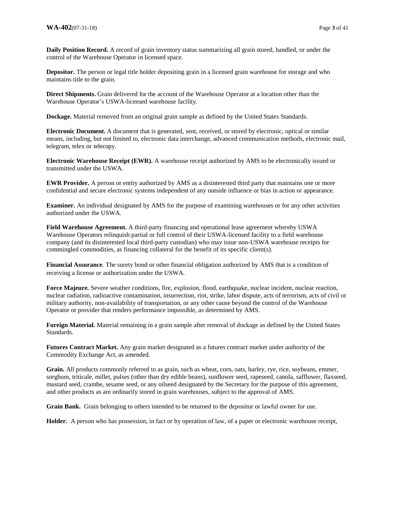**Daily Position Record.** A record of grain inventory status summarizing all grain stored, handled, or under the control of the Warehouse Operator in licensed space.

**Depositor.** The person or legal title holder depositing grain in a licensed grain warehouse for storage and who maintains title to the grain.

**Direct Shipments.** Grain delivered for the account of the Warehouse Operator at a location other than the Warehouse Operator's USWA-licensed warehouse facility.

**Dockage.** Material removed from an original grain sample as defined by the United States Standards.

**Electronic Document.** A document that is generated, sent, received, or stored by electronic, optical or similar means, including, but not limited to, electronic data interchange, advanced communication methods, electronic mail, telegram, telex or telecopy.

**Electronic Warehouse Receipt (EWR).** A warehouse receipt authorized by AMS to be electronically issued or transmitted under the USWA.

**EWR Provider.** A person or entity authorized by AMS as a disinterested third party that maintains one or more confidential and secure electronic systems independent of any outside influence or bias in action or appearance.

**Examiner.** An individual designated by AMS for the purpose of examining warehouses or for any other activities authorized under the USWA.

**Field Warehouse Agreement.** A third-party financing and operational lease agreement whereby USWA Warehouse Operators relinquish partial or full control of their USWA-licensed facility to a field warehouse company (and its disinterested local third-party custodian) who may issue non-USWA warehouse receipts for commingled commodities, as financing collateral for the benefit of its specific client(s).

**Financial Assurance**. The surety bond or other financial obligation authorized by AMS that is a condition of receiving a license or authorization under the USWA.

**Force Majeure***.* Severe weather conditions, fire, explosion, flood, earthquake, nuclear incident, nuclear reaction, nuclear radiation, radioactive contamination, insurrection, riot, strike, labor dispute, acts of terrorism, acts of civil or military authority, non-availability of transportation, or any other cause beyond the control of the Warehouse Operator or provider that renders performance impossible, as determined by AMS.

**Foreign Material.** Material remaining in a grain sample after removal of dockage as defined by the United States Standards.

**Futures Contract Market.** Any grain market designated as a futures contract market under authority of the Commodity Exchange Act, as amended.

**Grain.** All products commonly referred to as grain, such as wheat, corn, oats, barley, rye, rice, soybeans, emmer, sorghum, triticale, millet, pulses (other than dry edible beans), sunflower seed, rapeseed, canola, safflower, flaxseed, mustard seed, crambe, sesame seed, or any oilseed designated by the Secretary for the purpose of this agreement, and other products as are ordinarily stored in grain warehouses, subject to the approval of AMS.

**Grain Bank.** Grain belonging to others intended to be returned to the depositor or lawful owner for use.

**Holder.** A person who has possession, in fact or by operation of law, of a paper or electronic warehouse receipt,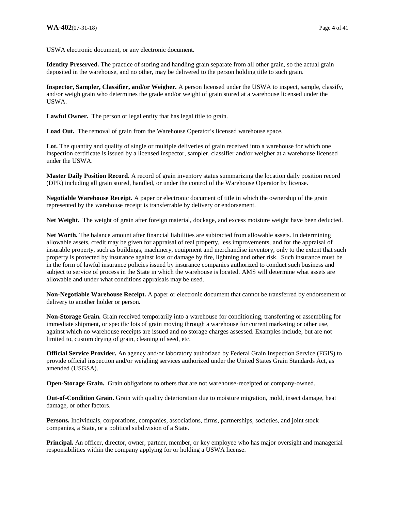USWA electronic document, or any electronic document.

**Identity Preserved.** The practice of storing and handling grain separate from all other grain, so the actual grain deposited in the warehouse, and no other, may be delivered to the person holding title to such grain.

**Inspector, Sampler, Classifier, and/or Weigher.** A person licensed under the USWA to inspect, sample, classify, and/or weigh grain who determines the grade and/or weight of grain stored at a warehouse licensed under the USWA.

**Lawful Owner.** The person or legal entity that has legal title to grain.

**Load Out.** The removal of grain from the Warehouse Operator's licensed warehouse space.

Lot. The quantity and quality of single or multiple deliveries of grain received into a warehouse for which one inspection certificate is issued by a licensed inspector, sampler, classifier and/or weigher at a warehouse licensed under the USWA.

**Master Daily Position Record.** A record of grain inventory status summarizing the location daily position record (DPR) including all grain stored, handled, or under the control of the Warehouse Operator by license.

**Negotiable Warehouse Receipt.** A paper or electronic document of title in which the ownership of the grain represented by the warehouse receipt is transferrable by delivery or endorsement.

**Net Weight.** The weight of grain after foreign material, dockage, and excess moisture weight have been deducted.

**Net Worth.** The balance amount after financial liabilities are subtracted from allowable assets. In determining allowable assets, credit may be given for appraisal of real property, less improvements, and for the appraisal of insurable property, such as buildings, machinery, equipment and merchandise inventory, only to the extent that such property is protected by insurance against loss or damage by fire, lightning and other risk. Such insurance must be in the form of lawful insurance policies issued by insurance companies authorized to conduct such business and subject to service of process in the State in which the warehouse is located. AMS will determine what assets are allowable and under what conditions appraisals may be used.

**Non-Negotiable Warehouse Receipt.** A paper or electronic document that cannot be transferred by endorsement or delivery to another holder or person.

**Non-Storage Grain***.* Grain received temporarily into a warehouse for conditioning, transferring or assembling for immediate shipment, or specific lots of grain moving through a warehouse for current marketing or other use, against which no warehouse receipts are issued and no storage charges assessed. Examples include, but are not limited to, custom drying of grain, cleaning of seed, etc.

**Official Service Provider.** An agency and/or laboratory authorized by Federal Grain Inspection Service (FGIS) to provide official inspection and/or weighing services authorized under the United States Grain Standards Act, as amended (USGSA).

**Open-Storage Grain.** Grain obligations to others that are not warehouse-receipted or company-owned.

**Out-of-Condition Grain.** Grain with quality deterioration due to moisture migration, mold, insect damage, heat damage, or other factors.

**Persons.** Individuals, corporations, companies, associations, firms, partnerships, societies, and joint stock companies, a State, or a political subdivision of a State.

**Principal.** An officer, director, owner, partner, member, or key employee who has major oversight and managerial responsibilities within the company applying for or holding a USWA license.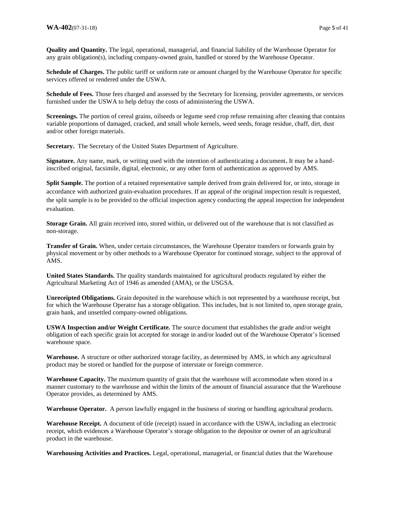**Quality and Quantity.** The legal, operational, managerial, and financial liability of the Warehouse Operator for any grain obligation(s), including company-owned grain, handled or stored by the Warehouse Operator.

**Schedule of Charges.** The public tariff or uniform rate or amount charged by the Warehouse Operator for specific services offered or rendered under the USWA.

**Schedule of Fees.** Those fees charged and assessed by the Secretary for licensing, provider agreements, or services furnished under the USWA to help defray the costs of administering the USWA.

**Screenings.** The portion of cereal grains, oilseeds or legume seed crop refuse remaining after cleaning that contains variable proportions of damaged, cracked, and small whole kernels, weed seeds, forage residue, chaff, dirt, dust and/or other foreign materials.

**Secretary.** The Secretary of the United States Department of Agriculture.

**Signature.** Any name, mark, or writing used with the intention of authenticating a document**.** It may be a handinscribed original, facsimile, digital, electronic, or any other form of authentication as approved by AMS.

**Split Sample.** The portion of a retained representative sample derived from grain delivered for, or into, storage in accordance with authorized grain-evaluation procedures. If an appeal of the original inspection result is requested, the split sample is to be provided to the official inspection agency conducting the appeal inspection for independent evaluation.

**Storage Grain.** All grain received into, stored within, or delivered out of the warehouse that is not classified as non-storage.

**Transfer of Grain.** When, under certain circumstances, the Warehouse Operator transfers or forwards grain by physical movement or by other methods to a Warehouse Operator for continued storage, subject to the approval of AMS.

**United States Standards.** The quality standards maintained for agricultural products regulated by either the Agricultural Marketing Act of 1946 as amended (AMA), or the USGSA.

**Unreceipted Obligations.** Grain deposited in the warehouse which is not represented by a warehouse receipt, but for which the Warehouse Operator has a storage obligation. This includes, but is not limited to, open storage grain, grain bank, and unsettled company-owned obligations.

**USWA Inspection and/or Weight Certificate***.* The source document that establishes the grade and/or weight obligation of each specific grain lot accepted for storage in and/or loaded out of the Warehouse Operator's licensed warehouse space.

**Warehouse.** A structure or other authorized storage facility, as determined by AMS, in which any agricultural product may be stored or handled for the purpose of interstate or foreign commerce.

**Warehouse Capacity.** The maximum quantity of grain that the warehouse will accommodate when stored in a manner customary to the warehouse and within the limits of the amount of financial assurance that the Warehouse Operator provides, as determined by AMS.

**Warehouse Operator.** A person lawfully engaged in the business of storing or handling agricultural products.

**Warehouse Receipt.** A document of title (receipt) issued in accordance with the USWA, including an electronic receipt, which evidences a Warehouse Operator's storage obligation to the depositor or owner of an agricultural product in the warehouse.

**Warehousing Activities and Practices.** Legal, operational, managerial, or financial duties that the Warehouse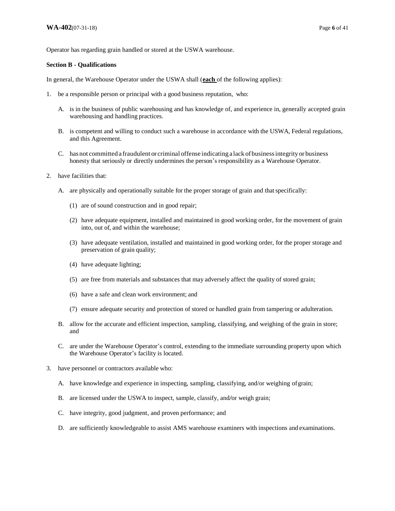Operator has regarding grain handled or stored at the USWA warehouse.

#### **Section B - Qualifications**

In general, the Warehouse Operator under the USWA shall (**each** of the following applies):

- 1. be a responsible person or principal with a good business reputation, who:
	- A. is in the business of public warehousing and has knowledge of, and experience in, generally accepted grain warehousing and handling practices.
	- B. is competent and willing to conduct such a warehouse in accordance with the USWA, Federal regulations, and this Agreement.
	- C. has not committed a fraudulent or criminal offense indicating a lack of business integrity or business honesty that seriously or directly undermines the person's responsibility as a Warehouse Operator.
- 2. have facilities that:
	- A. are physically and operationally suitable for the proper storage of grain and that specifically:
		- (1) are of sound construction and in good repair;
		- (2) have adequate equipment, installed and maintained in good working order, for the movement of grain into, out of, and within the warehouse;
		- (3) have adequate ventilation, installed and maintained in good working order, for the proper storage and preservation of grain quality;
		- (4) have adequate lighting;
		- (5) are free from materials and substances that may adversely affect the quality of stored grain;
		- (6) have a safe and clean work environment; and
		- (7) ensure adequate security and protection of stored or handled grain from tampering or adulteration.
	- B. allow for the accurate and efficient inspection, sampling, classifying, and weighing of the grain in store; and
	- C. are under the Warehouse Operator's control, extending to the immediate surrounding property upon which the Warehouse Operator's facility is located.
- 3. have personnel or contractors available who:
	- A. have knowledge and experience in inspecting, sampling, classifying, and/or weighing of grain;
	- B. are licensed under the USWA to inspect, sample, classify, and*/*or weigh grain;
	- C. have integrity, good judgment, and proven performance; and
	- D. are sufficiently knowledgeable to assist AMS warehouse examiners with inspections and examinations.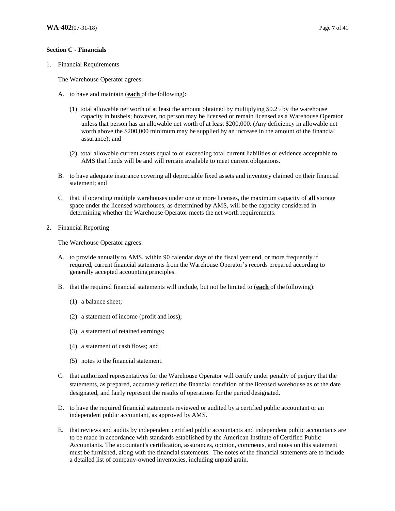#### **Section C - Financials**

1. Financial Requirements

The Warehouse Operator agrees:

- A. to have and maintain (**each** of the following):
	- (1) total allowable net worth of at least the amount obtained by multiplying \$0.25 by the warehouse capacity in bushels; however, no person may be licensed or remain licensed as a Warehouse Operator unless that person has an allowable net worth of at least \$200,000. (Any deficiency in allowable net worth above the \$200,000 minimum may be supplied by an increase in the amount of the financial assurance); and
	- (2) total allowable current assets equal to or exceeding total current liabilities or evidence acceptable to AMS that funds will be and will remain available to meet current obligations.
- B. to have adequate insurance covering all depreciable fixed assets and inventory claimed on their financial statement; and
- C. that, if operating multiple warehouses under one or more licenses, the maximum capacity of **all** storage space under the licensed warehouses, as determined by AMS, will be the capacity considered in determining whether the Warehouse Operator meets the net worth requirements.
- 2. Financial Reporting

The Warehouse Operator agrees:

- A. to provide annually to AMS, within 90 calendar days of the fiscal year end, or more frequently if required, current financial statements from the Warehouse Operator's records prepared according to generally accepted accounting principles.
- B. that the required financial statements will include, but not be limited to (**each** of the following):
	- (1) a balance sheet;
	- (2) a statement of income (profit and loss);
	- (3) a statement of retained earnings;
	- (4) a statement of cash flows; and
	- (5) notes to the financial statement.
- C. that authorized representatives for the Warehouse Operator will certify under penalty of perjury that the statements, as prepared, accurately reflect the financial condition of the licensed warehouse as of the date designated, and fairly represent the results of operations for the period designated.
- D. to have the required financial statements reviewed or audited by a certified public accountant or an independent public accountant, as approved by AMS.
- E. that reviews and audits by independent certified public accountants and independent public accountants are to be made in accordance with standards established by the American Institute of Certified Public Accountants. The accountant's certification, assurances, opinion, comments, and notes on this statement must be furnished, along with the financial statements. The notes of the financial statements are to include a detailed list of company-owned inventories, including unpaid grain.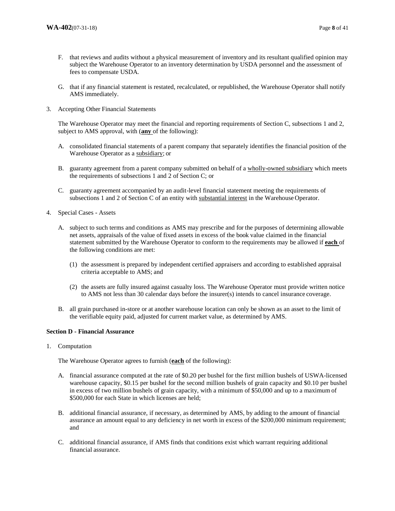- F. that reviews and audits without a physical measurement of inventory and its resultant qualified opinion may subject the Warehouse Operator to an inventory determination by USDA personnel and the assessment of fees to compensate USDA.
- G. that if any financial statement is restated, recalculated, or republished, the Warehouse Operator shall notify AMS immediately.
- 3. Accepting Other Financial Statements

The Warehouse Operator may meet the financial and reporting requirements of Section C, subsections 1 and 2, subject to AMS approval, with (**any** of the following):

- A. consolidated financial statements of a parent company that separately identifies the financial position of the Warehouse Operator as a subsidiary; or
- B. guaranty agreement from a parent company submitted on behalf of a wholly-owned subsidiary which meets the requirements of subsections 1 and 2 of Section C; or
- C. guaranty agreement accompanied by an audit-level financial statement meeting the requirements of subsections 1 and 2 of Section C of an entity with substantial interest in the Warehouse Operator.
- 4. Special Cases Assets
	- A. subject to such terms and conditions as AMS may prescribe and for the purposes of determining allowable net assets, appraisals of the value of fixed assets in excess of the book value claimed in the financial statement submitted by the Warehouse Operator to conform to the requirements may be allowed if **each** of the following conditions are met:
		- (1) the assessment is prepared by independent certified appraisers and according to established appraisal criteria acceptable to AMS; and
		- (2) the assets are fully insured against casualty loss. The Warehouse Operator must provide written notice to AMS not less than 30 calendar days before the insurer(s) intends to cancel insurance coverage.
	- B. all grain purchased in-store or at another warehouse location can only be shown as an asset to the limit of the verifiable equity paid, adjusted for current market value, as determined by AMS.

## **Section D - Financial Assurance**

1. Computation

The Warehouse Operator agrees to furnish (**each** of the following):

- A. financial assurance computed at the rate of \$0.20 per bushel for the first million bushels of USWA-licensed warehouse capacity, \$0.15 per bushel for the second million bushels of grain capacity and \$0.10 per bushel in excess of two million bushels of grain capacity, with a minimum of \$50,000 and up to a maximum of \$500,000 for each State in which licenses are held;
- B. additional financial assurance, if necessary, as determined by AMS, by adding to the amount of financial assurance an amount equal to any deficiency in net worth in excess of the \$200,000 minimum requirement; and
- C. additional financial assurance, if AMS finds that conditions exist which warrant requiring additional financial assurance.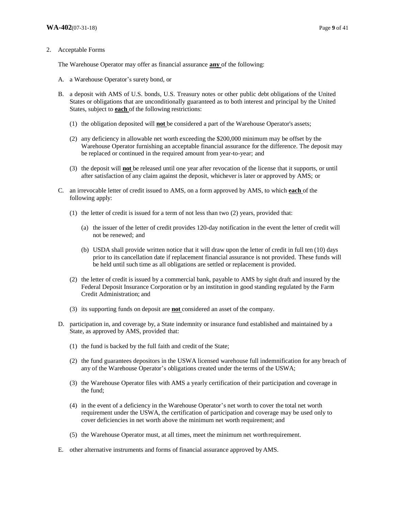#### 2. Acceptable Forms

The Warehouse Operator may offer as financial assurance **any** of the following:

- A. a Warehouse Operator's surety bond, or
- B. a deposit with AMS of U.S. bonds, U.S. Treasury notes or other public debt obligations of the United States or obligations that are unconditionally guaranteed as to both interest and principal by the United States, subject to **each** of the following restrictions:
	- (1) the obligation deposited will **not** be considered a part of the Warehouse Operator's assets;
	- (2) any deficiency in allowable net worth exceeding the \$200,000 minimum may be offset by the Warehouse Operator furnishing an acceptable financial assurance for the difference. The deposit may be replaced or continued in the required amount from year-to-year; and
	- (3) the deposit will **not** be released until one year after revocation of the license that it supports, or until after satisfaction of any claim against the deposit, whichever is later or approved by AMS; or
- C. an irrevocable letter of credit issued to AMS, on a form approved by AMS, to which **each** of the following apply:
	- (1) the letter of credit is issued for a term of not less than two (2) years, provided that:
		- (a) the issuer of the letter of credit provides 120-day notification in the event the letter of credit will not be renewed; and
		- (b) USDA shall provide written notice that it will draw upon the letter of credit in full ten (10) days prior to its cancellation date if replacement financial assurance is not provided. These funds will be held until such time as all obligations are settled or replacement is provided.
	- (2) the letter of credit is issued by a commercial bank, payable to AMS by sight draft and insured by the Federal Deposit Insurance Corporation or by an institution in good standing regulated by the Farm Credit Administration; and
	- (3) its supporting funds on deposit are **not** considered an asset of the company.
- D. participation in, and coverage by, a State indemnity or insurance fund established and maintained by a State, as approved by AMS, provided that:
	- (1) the fund is backed by the full faith and credit of the State;
	- (2) the fund guarantees depositors in the USWA licensed warehouse full indemnification for any breach of any of the Warehouse Operator's obligations created under the terms of the USWA;
	- (3) the Warehouse Operator files with AMS a yearly certification of their participation and coverage in the fund;
	- (4) in the event of a deficiency in the Warehouse Operator's net worth to cover the total net worth requirement under the USWA, the certification of participation and coverage may be used only to cover deficiencies in net worth above the minimum net worth requirement; and
	- (5) the Warehouse Operator must, at all times, meet the minimum net worth requirement.
- E. other alternative instruments and forms of financial assurance approved by AMS.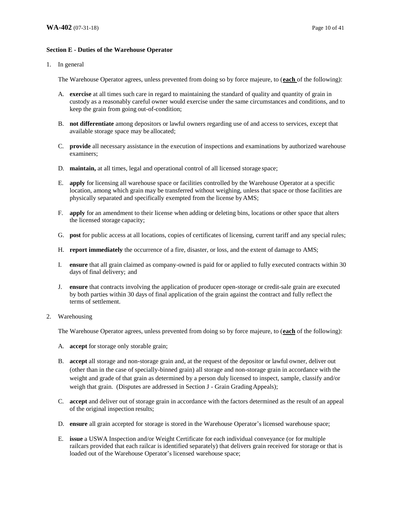## **Section E - Duties of the Warehouse Operator**

1. In general

The Warehouse Operator agrees, unless prevented from doing so by force majeure, to (**each** of the following):

- A. **exercise** at all times such care in regard to maintaining the standard of quality and quantity of grain in custody as a reasonably careful owner would exercise under the same circumstances and conditions, and to keep the grain from going out-of-condition;
- B. **not differentiate** among depositors or lawful owners regarding use of and access to services, except that available storage space may be allocated;
- C. **provide** all necessary assistance in the execution of inspections and examinations by authorized warehouse examiners;
- D. **maintain,** at all times, legal and operational control of all licensed storage space;
- E. **apply** for licensing all warehouse space or facilities controlled by the Warehouse Operator at a specific location, among which grain may be transferred without weighing, unless that space or those facilities are physically separated and specifically exempted from the license by AMS;
- F. **apply** for an amendment to their license when adding or deleting bins, locations or other space that alters the licensed storage capacity;
- G. **post** for public access at all locations, copies of certificates of licensing, current tariff and any special rules;
- H. **report immediately** the occurrence of a fire, disaster, or loss, and the extent of damage to AMS;
- I. **ensure** that all grain claimed as company-owned is paid for or applied to fully executed contracts within 30 days of final delivery; and
- J. **ensure** that contracts involving the application of producer open-storage or credit-sale grain are executed by both parties within 30 days of final application of the grain against the contract and fully reflect the terms of settlement.

#### 2. Warehousing

The Warehouse Operator agrees, unless prevented from doing so by force majeure, to (**each** of the following):

- A. **accept** for storage only storable grain;
- B. **accept** all storage and non-storage grain and, at the request of the depositor or lawful owner, deliver out (other than in the case of specially-binned grain) all storage and non-storage grain in accordance with the weight and grade of that grain as determined by a person duly licensed to inspect, sample, classify and/or weigh that grain. (Disputes are addressed in Section J - Grain Grading Appeals);
- C. **accept** and deliver out of storage grain in accordance with the factors determined as the result of an appeal of the original inspection results;
- D. **ensure** all grain accepted for storage is stored in the Warehouse Operator's licensed warehouse space;
- E. **issue** a USWA Inspection and/or Weight Certificate for each individual conveyance (or for multiple railcars provided that each railcar is identified separately) that delivers grain received for storage or that is loaded out of the Warehouse Operator's licensed warehouse space;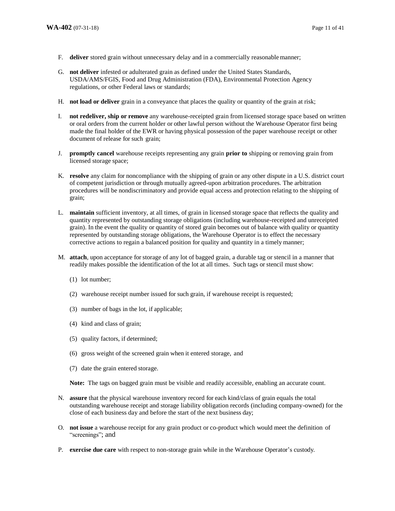- F. **deliver** stored grain without unnecessary delay and in a commercially reasonable manner;
- G. **not deliver** infested or adulterated grain as defined under the United States Standards, USDA/AMS/FGIS, Food and Drug Administration (FDA), Environmental Protection Agency regulations, or other Federal laws or standards;
- H. **not load or deliver** grain in a conveyance that places the quality or quantity of the grain at risk;
- I. **not redeliver, ship or remove** any warehouse-receipted grain from licensed storage space based on written or oral orders from the current holder or other lawful person without the Warehouse Operator first being made the final holder of the EWR or having physical possession of the paper warehouse receipt or other document of release for such grain;
- J. **promptly cancel** warehouse receipts representing any grain **prior to** shipping or removing grain from licensed storage space;
- K. **resolve** any claim for noncompliance with the shipping of grain or any other dispute in a U.S. district court of competent jurisdiction or through mutually agreed-upon arbitration procedures. The arbitration procedures will be nondiscriminatory and provide equal access and protection relating to the shipping of grain;
- L. **maintain** sufficient inventory, at all times, of grain in licensed storage space that reflects the quality and quantity represented by outstanding storage obligations (including warehouse-receipted and unreceipted grain). In the event the quality or quantity of stored grain becomes out of balance with quality or quantity represented by outstanding storage obligations, the Warehouse Operator is to effect the necessary corrective actions to regain a balanced position for quality and quantity in a timely manner;
- M. **attach**, upon acceptance for storage of any lot of bagged grain, a durable tag or stencil in a manner that readily makes possible the identification of the lot at all times. Such tags or stencil must show:
	- (1) lot number;
	- (2) warehouse receipt number issued for such grain, if warehouse receipt is requested;
	- (3) number of bags in the lot, if applicable;
	- (4) kind and class of grain;
	- (5) quality factors, if determined;
	- (6) gross weight of the screened grain when it entered storage, and
	- (7) date the grain entered storage.

**Note:** The tags on bagged grain must be visible and readily accessible, enabling an accurate count.

- N. **assure** that the physical warehouse inventory record for each kind/class of grain equals the total outstanding warehouse receipt and storage liability obligation records (including company-owned) for the close of each business day and before the start of the next business day;
- O. **not issue** a warehouse receipt for any grain product or co-product which would meet the definition of "screenings"; and
- P. **exercise due care** with respect to non-storage grain while in the Warehouse Operator's custody.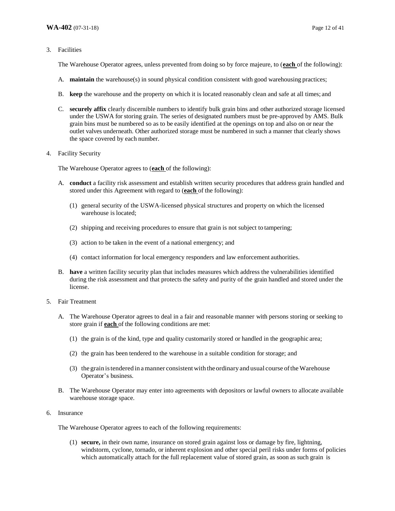3. Facilities

The Warehouse Operator agrees, unless prevented from doing so by force majeure, to (**each** of the following):

- A. **maintain** the warehouse(s) in sound physical condition consistent with good warehousing practices;
- B. **keep** the warehouse and the property on which it is located reasonably clean and safe at all times; and
- C. **securely affix** clearly discernible numbers to identify bulk grain bins and other authorized storage licensed under the USWA for storing grain. The series of designated numbers must be pre-approved by AMS. Bulk grain bins must be numbered so as to be easily identified at the openings on top and also on or near the outlet valves underneath. Other authorized storage must be numbered in such a manner that clearly shows the space covered by each number.
- 4. Facility Security

The Warehouse Operator agrees to (**each** of the following):

- A. **conduct** a facility risk assessment and establish written security procedures that address grain handled and stored under this Agreement with regard to (**each** of the following):
	- (1) general security of the USWA-licensed physical structures and property on which the licensed warehouse is located;
	- (2) shipping and receiving procedures to ensure that grain is not subject to tampering;
	- (3) action to be taken in the event of a national emergency; and
	- (4) contact information for local emergency responders and law enforcement authorities.
- B. **have** a written facility security plan that includes measures which address the vulnerabilities identified during the risk assessment and that protects the safety and purity of the grain handled and stored under the license.
- 5. Fair Treatment
	- A. The Warehouse Operator agrees to deal in a fair and reasonable manner with persons storing or seeking to store grain if **each** of the following conditions are met:
		- (1) the grain is of the kind, type and quality customarily stored or handled in the geographic area;
		- (2) the grain has been tendered to the warehouse in a suitable condition for storage; and
		- (3) the grain is tendered in a manner consistent with the ordinary and usual course of the Warehouse Operator's business.
	- B. The Warehouse Operator may enter into agreements with depositors or lawful owners to allocate available warehouse storage space.
- 6. Insurance

The Warehouse Operator agrees to each of the following requirements:

(1) **secure,** in their own name, insurance on stored grain against loss or damage by fire, lightning, windstorm, cyclone, tornado, or inherent explosion and other special peril risks under forms of policies which automatically attach for the full replacement value of stored grain, as soon as such grain is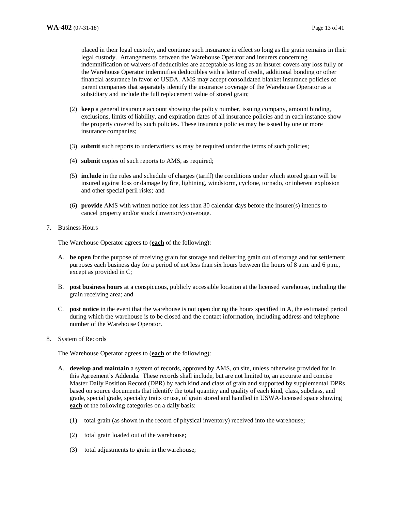placed in their legal custody, and continue such insurance in effect so long as the grain remains in their legal custody. Arrangements between the Warehouse Operator and insurers concerning indemnification of waivers of deductibles are acceptable as long as an insurer covers any loss fully or the Warehouse Operator indemnifies deductibles with a letter of credit, additional bonding or other financial assurance in favor of USDA. AMS may accept consolidated blanket insurance policies of parent companies that separately identify the insurance coverage of the Warehouse Operator as a subsidiary and include the full replacement value of stored grain;

- (2) **keep** a general insurance account showing the policy number, issuing company, amount binding, exclusions, limits of liability, and expiration dates of all insurance policies and in each instance show the property covered by such policies. These insurance policies may be issued by one or more insurance companies;
- (3) **submit** such reports to underwriters as may be required under the terms of such policies;
- (4) **submit** copies of such reports to AMS, as required;
- (5) **include** in the rules and schedule of charges (tariff) the conditions under which stored grain will be insured against loss or damage by fire, lightning, windstorm, cyclone, tornado, or inherent explosion and other special peril risks; and
- (6) **provide** AMS with written notice not less than 30 calendar days before the insurer(s) intends to cancel property and/or stock (inventory) coverage.
- 7. Business Hours

The Warehouse Operator agrees to (**each** of the following):

- A. **be open** for the purpose of receiving grain for storage and delivering grain out of storage and for settlement purposes each business day for a period of not less than six hours between the hours of 8 a.m. and 6 p.m., except as provided in C;
- B. **post business hours** at a conspicuous, publicly accessible location at the licensed warehouse, including the grain receiving area; and
- C. **post notice** in the event that the warehouse is not open during the hours specified in A, the estimated period during which the warehouse is to be closed and the contact information, including address and telephone number of the Warehouse Operator.
- 8. System of Records

The Warehouse Operator agrees to (**each** of the following):

- A. **develop and maintain** a system of records, approved by AMS, on site, unless otherwise provided for in this Agreement's Addenda. These records shall include, but are not limited to, an accurate and concise Master Daily Position Record (DPR) by each kind and class of grain and supported by supplemental DPRs based on source documents that identify the total quantity and quality of each kind, class, subclass, and grade, special grade, specialty traits or use, of grain stored and handled in USWA-licensed space showing **each** of the following categories on a daily basis:
	- (1) total grain (as shown in the record of physical inventory) received into the warehouse;
	- (2) total grain loaded out of the warehouse;
	- (3) total adjustments to grain in the warehouse;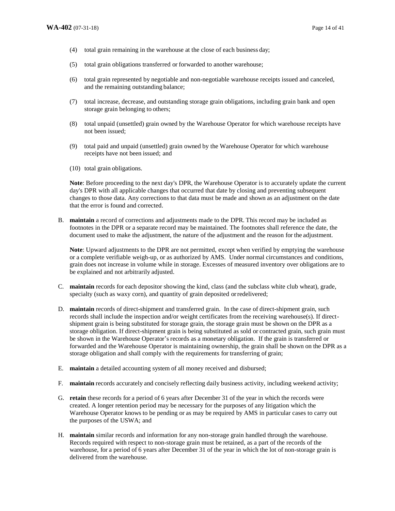- (4) total grain remaining in the warehouse at the close of each business day;
- (5) total grain obligations transferred or forwarded to another warehouse;
- (6) total grain represented by negotiable and non-negotiable warehouse receipts issued and canceled, and the remaining outstanding balance;
- (7) total increase, decrease, and outstanding storage grain obligations, including grain bank and open storage grain belonging to others;
- (8) total unpaid (unsettled) grain owned by the Warehouse Operator for which warehouse receipts have not been issued;
- (9) total paid and unpaid (unsettled) grain owned by the Warehouse Operator for which warehouse receipts have not been issued; and
- (10) total grain obligations.

**Note**: Before proceeding to the next day's DPR, the Warehouse Operator is to accurately update the current day's DPR with all applicable changes that occurred that date by closing and preventing subsequent changes to those data. Any corrections to that data must be made and shown as an adjustment on the date that the error is found and corrected.

B. **maintain** a record of corrections and adjustments made to the DPR. This record may be included as footnotes in the DPR or a separate record may be maintained. The footnotes shall reference the date, the document used to make the adjustment, the nature of the adjustment and the reason for the adjustment.

**Note**: Upward adjustments to the DPR are not permitted, except when verified by emptying the warehouse or a complete verifiable weigh-up, or as authorized by AMS. Under normal circumstances and conditions, grain does not increase in volume while in storage. Excesses of measured inventory over obligations are to be explained and not arbitrarily adjusted.

- C. **maintain** records for each depositor showing the kind, class (and the subclass white club wheat), grade, specialty (such as waxy corn), and quantity of grain deposited or redelivered;
- D. **maintain** records of direct-shipment and transferred grain. In the case of direct-shipment grain, such records shall include the inspection and/or weight certificates from the receiving warehouse(s). If directshipment grain is being substituted for storage grain, the storage grain must be shown on the DPR as a storage obligation. If direct-shipment grain is being substituted as sold or contracted grain, such grain must be shown in the Warehouse Operator's records as a monetary obligation. If the grain is transferred or forwarded and the Warehouse Operator is maintaining ownership, the grain shall be shown on the DPR as a storage obligation and shall comply with the requirements for transferring of grain;
- E. **maintain** a detailed accounting system of all money received and disbursed;
- F. **maintain** records accurately and concisely reflecting daily business activity, including weekend activity;
- G. **retain** these records for a period of 6 years after December 31 of the year in which the records were created. A longer retention period may be necessary for the purposes of any litigation which the Warehouse Operator knows to be pending or as may be required by AMS in particular cases to carry out the purposes of the USWA; and
- H. **maintain** similar records and information for any non-storage grain handled through the warehouse. Records required with respect to non-storage grain must be retained, as a part of the records of the warehouse, for a period of 6 years after December 31 of the year in which the lot of non-storage grain is delivered from the warehouse.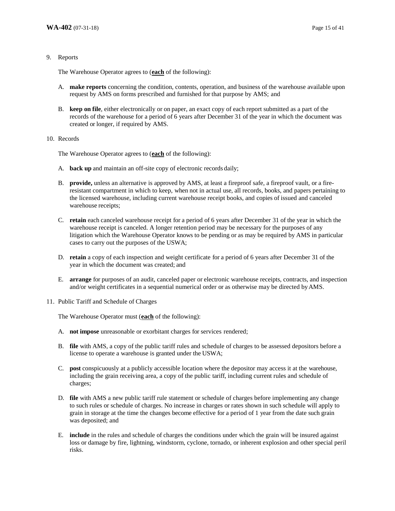#### 9. Reports

The Warehouse Operator agrees to (**each** of the following):

- A. **make reports** concerning the condition, contents, operation, and business of the warehouse available upon request by AMS on forms prescribed and furnished for that purpose by AMS; and
- B. **keep on file**, either electronically or on paper, an exact copy of each report submitted as a part of the records of the warehouse for a period of 6 years after December 31 of the year in which the document was created or longer, if required by AMS.

#### 10. Records

The Warehouse Operator agrees to (**each** of the following):

- A. **back up** and maintain an off-site copy of electronic records daily;
- B. **provide,** unless an alternative is approved by AMS, at least a fireproof safe, a fireproof vault, or a fireresistant compartment in which to keep, when not in actual use, all records, books, and papers pertaining to the licensed warehouse, including current warehouse receipt books, and copies of issued and canceled warehouse receipts;
- C. **retain** each canceled warehouse receipt for a period of 6 years after December 31 of the year in which the warehouse receipt is canceled. A longer retention period may be necessary for the purposes of any litigation which the Warehouse Operator knows to be pending or as may be required by AMS in particular cases to carry out the purposes of the USWA;
- D. **retain** a copy of each inspection and weight certificate for a period of 6 years after December 31 of the year in which the document was created; and
- E. **arrange** for purposes of an audit, canceled paper or electronic warehouse receipts, contracts, and inspection and/or weight certificates in a sequential numerical order or as otherwise may be directed by AMS.
- 11. Public Tariff and Schedule of Charges

The Warehouse Operator must (**each** of the following):

- A. **not impose** unreasonable or exorbitant charges for services rendered;
- B. **file** with AMS, a copy of the public tariff rules and schedule of charges to be assessed depositors before a license to operate a warehouse is granted under the USWA;
- C. **post** conspicuously at a publicly accessible location where the depositor may access it at the warehouse, including the grain receiving area, a copy of the public tariff, including current rules and schedule of charges;
- D. **file** with AMS a new public tariff rule statement or schedule of charges before implementing any change to such rules or schedule of charges. No increase in charges or rates shown in such schedule will apply to grain in storage at the time the changes become effective for a period of 1 year from the date such grain was deposited; and
- E. **include** in the rules and schedule of charges the conditions under which the grain will be insured against loss or damage by fire, lightning, windstorm, cyclone, tornado, or inherent explosion and other special peril risks.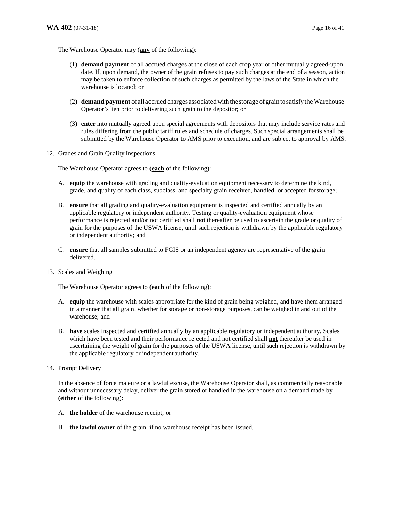The Warehouse Operator may (**any** of the following):

- (1) **demand payment** of all accrued charges at the close of each crop year or other mutually agreed-upon date. If, upon demand, the owner of the grain refuses to pay such charges at the end of a season, action may be taken to enforce collection of such charges as permitted by the laws of the State in which the warehouse is located; or
- (2) **demand payment** of all accrued charges associated with the storage of grain to satisfy the Warehouse Operator's lien prior to delivering such grain to the depositor; or
- (3) **enter** into mutually agreed upon special agreements with depositors that may include service rates and rules differing from the public tariff rules and schedule of charges. Such special arrangements shall be submitted by the Warehouse Operator to AMS prior to execution, and are subject to approval by AMS.
- 12. Grades and Grain Quality Inspections

The Warehouse Operator agrees to (**each** of the following):

- A. **equip** the warehouse with grading and quality-evaluation equipment necessary to determine the kind, grade, and quality of each class, subclass, and specialty grain received, handled, or accepted for storage;
- B. **ensure** that all grading and quality-evaluation equipment is inspected and certified annually by an applicable regulatory or independent authority. Testing or quality-evaluation equipment whose performance is rejected and/or not certified shall **not** thereafter be used to ascertain the grade or quality of grain for the purposes of the USWA license, until such rejection is withdrawn by the applicable regulatory or independent authority; and
- C. **ensure** that all samples submitted to FGIS or an independent agency are representative of the grain delivered.
- 13. Scales and Weighing

The Warehouse Operator agrees to (**each** of the following):

- A. **equip** the warehouse with scales appropriate for the kind of grain being weighed, and have them arranged in a manner that all grain, whether for storage or non-storage purposes, can be weighed in and out of the warehouse; and
- B. **have** scales inspected and certified annually by an applicable regulatory or independent authority. Scales which have been tested and their performance rejected and not certified shall **not** thereafter be used in ascertaining the weight of grain for the purposes of the USWA license, until such rejection is withdrawn by the applicable regulatory or independent authority.
- 14. Prompt Delivery

In the absence of force majeure or a lawful excuse, the Warehouse Operator shall, as commercially reasonable and without unnecessary delay, deliver the grain stored or handled in the warehouse on a demand made by **(either** of the following):

- A. **the holder** of the warehouse receipt; or
- B. **the lawful owner** of the grain, if no warehouse receipt has been issued.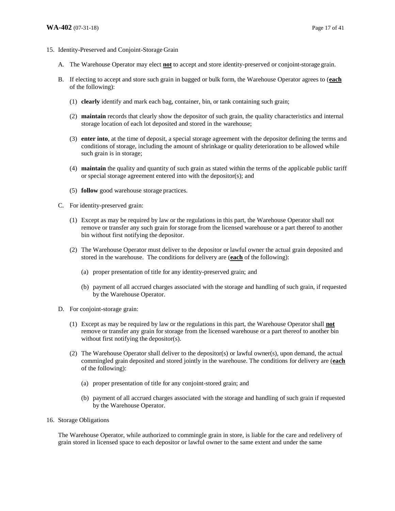- 15. Identity-Preserved and Conjoint-Storage Grain
	- A. The Warehouse Operator may elect **not** to accept and store identity-preserved or conjoint-storage grain.
	- B. If electing to accept and store such grain in bagged or bulk form, the Warehouse Operator agrees to (**each** of the following):
		- (1) **clearly** identify and mark each bag, container, bin, or tank containing such grain;
		- (2) **maintain** records that clearly show the depositor of such grain, the quality characteristics and internal storage location of each lot deposited and stored in the warehouse;
		- (3) **enter into**, at the time of deposit, a special storage agreement with the depositor defining the terms and conditions of storage, including the amount of shrinkage or quality deterioration to be allowed while such grain is in storage;
		- (4) **maintain** the quality and quantity of such grain as stated within the terms of the applicable public tariff or special storage agreement entered into with the depositor(s); and
		- (5) **follow** good warehouse storage practices.
	- C. For identity-preserved grain:
		- (1) Except as may be required by law or the regulations in this part, the Warehouse Operator shall not remove or transfer any such grain for storage from the licensed warehouse or a part thereof to another bin without first notifying the depositor.
		- (2) The Warehouse Operator must deliver to the depositor or lawful owner the actual grain deposited and stored in the warehouse. The conditions for delivery are (**each** of the following):
			- (a) proper presentation of title for any identity-preserved grain; and
			- (b) payment of all accrued charges associated with the storage and handling of such grain, if requested by the Warehouse Operator.
	- D. For conjoint-storage grain:
		- (1) Except as may be required by law or the regulations in this part, the Warehouse Operator shall **not** remove or transfer any grain for storage from the licensed warehouse or a part thereof to another bin without first notifying the depositor(s).
		- (2) The Warehouse Operator shall deliver to the depositor(s) or lawful owner(s), upon demand, the actual commingled grain deposited and stored jointly in the warehouse. The conditions for delivery are (**each** of the following):
			- (a) proper presentation of title for any conjoint-stored grain; and
			- (b) payment of all accrued charges associated with the storage and handling of such grain if requested by the Warehouse Operator.
- 16. Storage Obligations

The Warehouse Operator, while authorized to commingle grain in store, is liable for the care and redelivery of grain stored in licensed space to each depositor or lawful owner to the same extent and under the same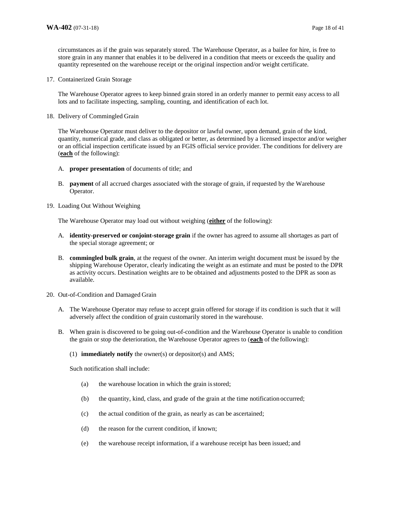circumstances as if the grain was separately stored. The Warehouse Operator, as a bailee for hire, is free to store grain in any manner that enables it to be delivered in a condition that meets or exceeds the quality and quantity represented on the warehouse receipt or the original inspection and/or weight certificate.

17. Containerized Grain Storage

The Warehouse Operator agrees to keep binned grain stored in an orderly manner to permit easy access to all lots and to facilitate inspecting, sampling, counting, and identification of each lot.

18. Delivery of Commingled Grain

The Warehouse Operator must deliver to the depositor or lawful owner, upon demand, grain of the kind, quantity, numerical grade, and class as obligated or better, as determined by a licensed inspector and/or weigher or an official inspection certificate issued by an FGIS official service provider. The conditions for delivery are (**each** of the following):

- A. **proper presentation** of documents of title; and
- B. **payment** of all accrued charges associated with the storage of grain, if requested by the Warehouse Operator.
- 19. Loading Out Without Weighing

The Warehouse Operator may load out without weighing (**either** of the following):

- A. **identity-preserved or conjoint-storage grain** if the owner has agreed to assume all shortages as part of the special storage agreement; or
- B. **commingled bulk grain**, at the request of the owner. An interim weight document must be issued by the shipping Warehouse Operator, clearly indicating the weight as an estimate and must be posted to the DPR as activity occurs. Destination weights are to be obtained and adjustments posted to the DPR as soon as available.
- 20. Out-of-Condition and Damaged Grain
	- A. The Warehouse Operator may refuse to accept grain offered for storage if its condition is such that it will adversely affect the condition of grain customarily stored in the warehouse.
	- B. When grain is discovered to be going out-of-condition and the Warehouse Operator is unable to condition the grain or stop the deterioration, the Warehouse Operator agrees to (**each** of the following):
		- (1) **immediately notify** the owner(s) or depositor(s) and AMS;

Such notification shall include:

- (a) the warehouse location in which the grain is stored;
- (b) the quantity, kind, class, and grade of the grain at the time notification occurred;
- (c) the actual condition of the grain, as nearly as can be ascertained;
- (d) the reason for the current condition, if known;
- (e) the warehouse receipt information, if a warehouse receipt has been issued; and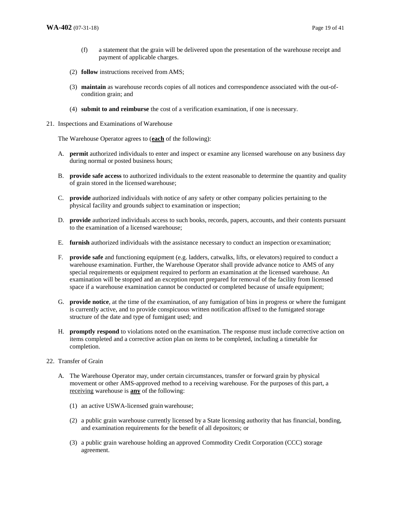- (f) a statement that the grain will be delivered upon the presentation of the warehouse receipt and payment of applicable charges.
- (2) **follow** instructions received from AMS;
- (3) **maintain** as warehouse records copies of all notices and correspondence associated with the out-ofcondition grain; and
- (4) **submit to and reimburse** the cost of a verification examination, if one is necessary.
- 21. Inspections and Examinations of Warehouse

The Warehouse Operator agrees to (**each** of the following):

- A. **permit** authorized individuals to enter and inspect or examine any licensed warehouse on any business day during normal or posted business hours;
- B. **provide safe access** to authorized individuals to the extent reasonable to determine the quantity and quality of grain stored in the licensed warehouse;
- C. **provide** authorized individuals with notice of any safety or other company policies pertaining to the physical facility and grounds subject to examination or inspection;
- D. **provide** authorized individuals access to such books, records, papers, accounts, and their contents pursuant to the examination of a licensed warehouse;
- E. **furnish** authorized individuals with the assistance necessary to conduct an inspection or examination;
- F. **provide safe** and functioning equipment (e.g. ladders, catwalks, lifts, or elevators) required to conduct a warehouse examination. Further, the Warehouse Operator shall provide advance notice to AMS of any special requirements or equipment required to perform an examination at the licensed warehouse. An examination will be stopped and an exception report prepared for removal of the facility from licensed space if a warehouse examination cannot be conducted or completed because of unsafe equipment;
- G. **provide notice**, at the time of the examination, of any fumigation of bins in progress or where the fumigant is currently active, and to provide conspicuous written notification affixed to the fumigated storage structure of the date and type of fumigant used; and
- H. **promptly respond** to violations noted on the examination. The response must include corrective action on items completed and a corrective action plan on items to be completed, including a timetable for completion.
- 22. Transfer of Grain
	- A. The Warehouse Operator may, under certain circumstances, transfer or forward grain by physical movement or other AMS-approved method to a receiving warehouse. For the purposes of this part, a receiving warehouse is **any** of the following:
		- (1) an active USWA-licensed grain warehouse;
		- (2) a public grain warehouse currently licensed by a State licensing authority that has financial, bonding, and examination requirements for the benefit of all depositors; or
		- (3) a public grain warehouse holding an approved Commodity Credit Corporation (CCC) storage agreement.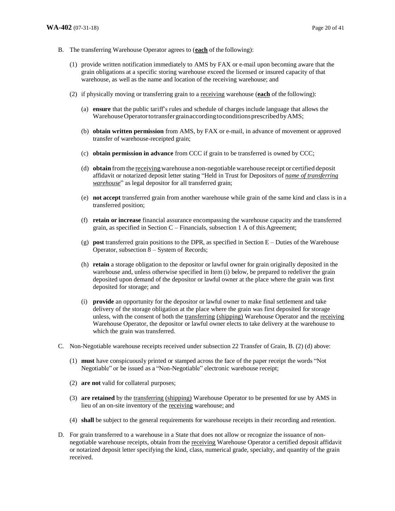- B. The transferring Warehouse Operator agrees to (**each** of the following):
	- (1) provide written notification immediately to AMS by FAX or e-mail upon becoming aware that the grain obligations at a specific storing warehouse exceed the licensed or insured capacity of that warehouse, as well as the name and location of the receiving warehouse; and
	- (2) if physically moving or transferring grain to a receiving warehouse (**each** of the following):
		- (a) **ensure** that the public tariff's rules and schedule of charges include language that allows the Warehouse Operator to transfer grain according to conditions prescribed by AMS;
		- (b) **obtain written permission** from AMS, by FAX or e-mail, in advance of movement or approved transfer of warehouse-receipted grain;
		- (c) **obtain permission in advance** from CCC if grain to be transferred is owned by CCC;
		- (d) **obtain** from the receiving warehouse a non-negotiable warehouse receipt or certified deposit affidavit or notarized deposit letter stating "Held in Trust for Depositors of *name of transferring warehouse*" as legal depositor for all transferred grain;
		- (e) **not accept** transferred grain from another warehouse while grain of the same kind and class is in a transferred position;
		- (f) **retain or increase** financial assurance encompassing the warehouse capacity and the transferred grain, as specified in Section C – Financials, subsection 1 A of this Agreement;
		- $(g)$  **post** transferred grain positions to the DPR, as specified in Section  $E -$  Duties of the Warehouse Operator, subsection 8 – System of Records;
		- (h) **retain** a storage obligation to the depositor or lawful owner for grain originally deposited in the warehouse and, unless otherwise specified in Item (i) below, be prepared to redeliver the grain deposited upon demand of the depositor or lawful owner at the place where the grain was first deposited for storage; and
		- (i) **provide** an opportunity for the depositor or lawful owner to make final settlement and take delivery of the storage obligation at the place where the grain was first deposited for storage unless, with the consent of both the transferring (shipping) Warehouse Operator and the receiving Warehouse Operator, the depositor or lawful owner elects to take delivery at the warehouse to which the grain was transferred.
- C. Non-Negotiable warehouse receipts received under subsection 22 Transfer of Grain, B. (2) (d) above:
	- (1) **must** have conspicuously printed or stamped across the face of the paper receipt the words "Not Negotiable" or be issued as a "Non-Negotiable" electronic warehouse receipt;
	- (2) **are not** valid for collateral purposes;
	- (3) **are retained** by the transferring (shipping) Warehouse Operator to be presented for use by AMS in lieu of an on-site inventory of the receiving warehouse; and
	- (4) **shall** be subject to the general requirements for warehouse receipts in their recording and retention.
- D. For grain transferred to a warehouse in a State that does not allow or recognize the issuance of nonnegotiable warehouse receipts, obtain from the receiving Warehouse Operator a certified deposit affidavit or notarized deposit letter specifying the kind, class, numerical grade, specialty, and quantity of the grain received.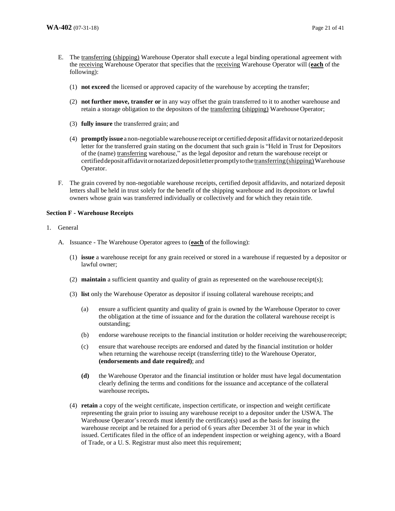- E. The transferring (shipping) Warehouse Operator shall execute a legal binding operational agreement with the receiving Warehouse Operator that specifies that the receiving Warehouse Operator will (**each** of the following):
	- (1) **not exceed** the licensed or approved capacity of the warehouse by accepting the transfer;
	- (2) **not further move, transfer or** in any way offset the grain transferred to it to another warehouse and retain a storage obligation to the depositors of the transferring (shipping) Warehouse Operator;
	- (3) **fully insure** the transferred grain; and
	- (4) **promptly issue** a non-negotiable warehouse receipt or certified deposit affidavit or notarized deposit letter for the transferred grain stating on the document that such grain is "Held in Trust for Depositors of the (name) transferring warehouse," as the legal depositor and return the warehouse receipt or certified deposit affidavit or notarized deposit letter promptly to the transferring (shipping) Warehouse Operator.
- F. The grain covered by non-negotiable warehouse receipts, certified deposit affidavits, and notarized deposit letters shall be held in trust solely for the benefit of the shipping warehouse and its depositors or lawful owners whose grain was transferred individually or collectively and for which they retain title.

#### **Section F - Warehouse Receipts**

## 1. General

- A. Issuance The Warehouse Operator agrees to (**each** of the following):
	- (1) **issue** a warehouse receipt for any grain received or stored in a warehouse if requested by a depositor or lawful owner;
	- (2) **maintain** a sufficient quantity and quality of grain as represented on the warehouse receipt(s);
	- (3) **list** only the Warehouse Operator as depositor if issuing collateral warehouse receipts; and
		- (a) ensure a sufficient quantity and quality of grain is owned by the Warehouse Operator to cover the obligation at the time of issuance and for the duration the collateral warehouse receipt is outstanding;
		- (b) endorse warehouse receipts to the financial institution or holder receiving the warehouse receipt;
		- (c) ensure that warehouse receipts are endorsed and dated by the financial institution or holder when returning the warehouse receipt (transferring title) to the Warehouse Operator, **(endorsements and date required)**; and
		- **(d)** the Warehouse Operator and the financial institution or holder must have legal documentation clearly defining the terms and conditions for the issuance and acceptance of the collateral warehouse receipts**.**
	- (4) **retain** a copy of the weight certificate, inspection certificate, or inspection and weight certificate representing the grain prior to issuing any warehouse receipt to a depositor under the USWA. The Warehouse Operator's records must identify the certificate(s) used as the basis for issuing the warehouse receipt and be retained for a period of 6 years after December 31 of the year in which issued. Certificates filed in the office of an independent inspection or weighing agency, with a Board of Trade, or a U. S. Registrar must also meet this requirement;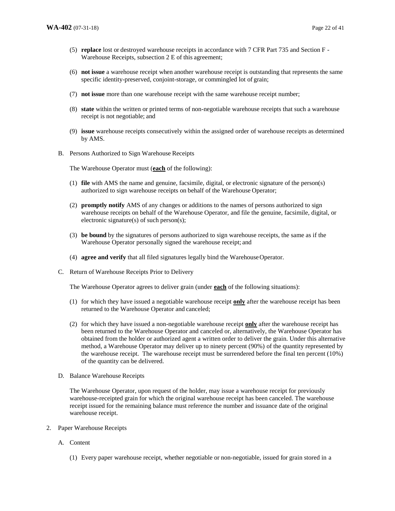- (5) **replace** lost or destroyed warehouse receipts in accordance with 7 CFR Part 735 and Section F Warehouse Receipts, subsection 2 E of this agreement;
- (6) **not issue** a warehouse receipt when another warehouse receipt is outstanding that represents the same specific identity-preserved, conjoint-storage, or commingled lot of grain;
- (7) **not issue** more than one warehouse receipt with the same warehouse receipt number;
- (8) **state** within the written or printed terms of non-negotiable warehouse receipts that such a warehouse receipt is not negotiable; and
- (9) **issue** warehouse receipts consecutively within the assigned order of warehouse receipts as determined by AMS.
- B. Persons Authorized to Sign Warehouse Receipts

The Warehouse Operator must (**each** of the following):

- (1) **file** with AMS the name and genuine, facsimile, digital, or electronic signature of the person(s) authorized to sign warehouse receipts on behalf of the Warehouse Operator;
- (2) **promptly notify** AMS of any changes or additions to the names of persons authorized to sign warehouse receipts on behalf of the Warehouse Operator, and file the genuine, facsimile, digital, or electronic signature(s) of such person(s);
- (3) **be bound** by the signatures of persons authorized to sign warehouse receipts, the same as if the Warehouse Operator personally signed the warehouse receipt; and
- (4) **agree and verify** that all filed signatures legally bind the Warehouse Operator.
- C. Return of Warehouse Receipts Prior to Delivery

The Warehouse Operator agrees to deliver grain (under **each** of the following situations):

- (1) for which they have issued a negotiable warehouse receipt **only** after the warehouse receipt has been returned to the Warehouse Operator and canceled;
- (2) for which they have issued a non-negotiable warehouse receipt **only** after the warehouse receipt has been returned to the Warehouse Operator and canceled or, alternatively, the Warehouse Operator has obtained from the holder or authorized agent a written order to deliver the grain. Under this alternative method, a Warehouse Operator may deliver up to ninety percent (90%) of the quantity represented by the warehouse receipt. The warehouse receipt must be surrendered before the final ten percent (10%) of the quantity can be delivered.
- D. Balance Warehouse Receipts

The Warehouse Operator, upon request of the holder, may issue a warehouse receipt for previously warehouse-receipted grain for which the original warehouse receipt has been canceled. The warehouse receipt issued for the remaining balance must reference the number and issuance date of the original warehouse receipt.

- 2. Paper Warehouse Receipts
	- A. Content
		- (1) Every paper warehouse receipt, whether negotiable or non-negotiable, issued for grain stored in a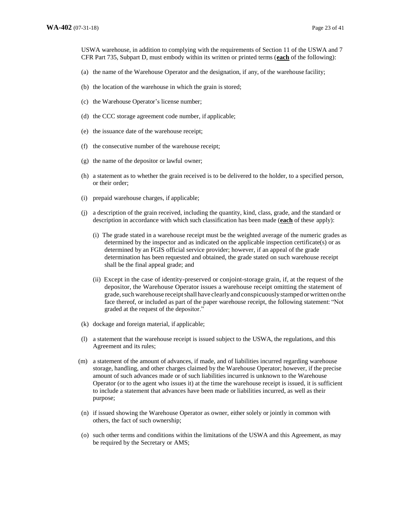USWA warehouse, in addition to complying with the requirements of Section 11 of the USWA and 7 CFR Part 735, Subpart D, must embody within its written or printed terms (**each** of the following):

- (a) the name of the Warehouse Operator and the designation, if any, of the warehouse facility;
- (b) the location of the warehouse in which the grain is stored;
- (c) the Warehouse Operator's license number;
- (d) the CCC storage agreement code number, if applicable;
- (e) the issuance date of the warehouse receipt;
- (f) the consecutive number of the warehouse receipt;
- (g) the name of the depositor or lawful owner;
- (h) a statement as to whether the grain received is to be delivered to the holder, to a specified person, or their order;
- (i) prepaid warehouse charges, if applicable;
- (j) a description of the grain received, including the quantity, kind, class, grade, and the standard or description in accordance with which such classification has been made (**each** of these apply):
	- (i) The grade stated in a warehouse receipt must be the weighted average of the numeric grades as determined by the inspector and as indicated on the applicable inspection certificate(s) or as determined by an FGIS official service provider; however, if an appeal of the grade determination has been requested and obtained, the grade stated on such warehouse receipt shall be the final appeal grade; and
	- (ii) Except in the case of identity-preserved or conjoint-storage grain, if, at the request of the depositor, the Warehouse Operator issues a warehouse receipt omitting the statement of grade, such warehouse receipt shall have clearly and conspicuously stamped or written on the face thereof, or included as part of the paper warehouse receipt, the following statement: "Not graded at the request of the depositor."
- (k) dockage and foreign material, if applicable;
- (l) a statement that the warehouse receipt is issued subject to the USWA, the regulations, and this Agreement and its rules;
- (m) a statement of the amount of advances, if made, and of liabilities incurred regarding warehouse storage, handling, and other charges claimed by the Warehouse Operator; however, if the precise amount of such advances made or of such liabilities incurred is unknown to the Warehouse Operator (or to the agent who issues it) at the time the warehouse receipt is issued, it is sufficient to include a statement that advances have been made or liabilities incurred, as well as their purpose;
- (n) if issued showing the Warehouse Operator as owner, either solely or jointly in common with others, the fact of such ownership;
- (o) such other terms and conditions within the limitations of the USWA and this Agreement, as may be required by the Secretary or AMS;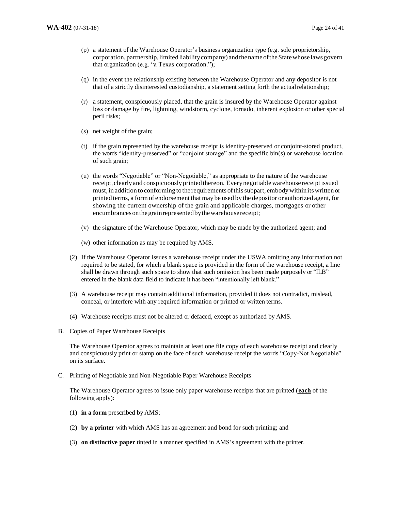- (p) a statement of the Warehouse Operator's business organization type (e.g. sole proprietorship, corporation, partnership, limited liability company) and the name of the State whose laws govern that organization (e.g. "a Texas corporation.");
- (q) in the event the relationship existing between the Warehouse Operator and any depositor is not that of a strictly disinterested custodianship, a statement setting forth the actual relationship;
- (r) a statement, conspicuously placed, that the grain is insured by the Warehouse Operator against loss or damage by fire, lightning, windstorm, cyclone, tornado, inherent explosion or other special peril risks;
- (s) net weight of the grain;
- (t) if the grain represented by the warehouse receipt is identity-preserved or conjoint-stored product, the words "identity-preserved" or "conjoint storage" and the specific bin(s) or warehouse location of such grain;
- (u) the words "Negotiable" or "Non-Negotiable," as appropriate to the nature of the warehouse receipt, clearly and conspicuously printed thereon. Every negotiable warehouse receipt issued must, in addition to conforming to the requirements of this subpart, embody within its written or printed terms, a form of endorsement that may be used by the depositor or authorized agent, for showing the current ownership of the grain and applicable charges, mortgages or other encumbrances on the grain represented by the warehouse receipt;
- (v) the signature of the Warehouse Operator, which may be made by the authorized agent; and
- (w) other information as may be required by AMS.
- (2) If the Warehouse Operator issues a warehouse receipt under the USWA omitting any information not required to be stated, for which a blank space is provided in the form of the warehouse receipt, a line shall be drawn through such space to show that such omission has been made purposely or "ILB" entered in the blank data field to indicate it has been "intentionally left blank."
- (3) A warehouse receipt may contain additional information, provided it does not contradict, mislead, conceal, or interfere with any required information or printed or written terms.
- (4) Warehouse receipts must not be altered or defaced, except as authorized by AMS.
- B. Copies of Paper Warehouse Receipts

The Warehouse Operator agrees to maintain at least one file copy of each warehouse receipt and clearly and conspicuously print or stamp on the face of such warehouse receipt the words "Copy-Not Negotiable" on its surface.

C. Printing of Negotiable and Non-Negotiable Paper Warehouse Receipts

The Warehouse Operator agrees to issue only paper warehouse receipts that are printed (**each** of the following apply):

- (1) **in a form** prescribed by AMS;
- (2) **by a printer** with which AMS has an agreement and bond for such printing; and
- (3) **on distinctive paper** tinted in a manner specified in AMS's agreement with the printer.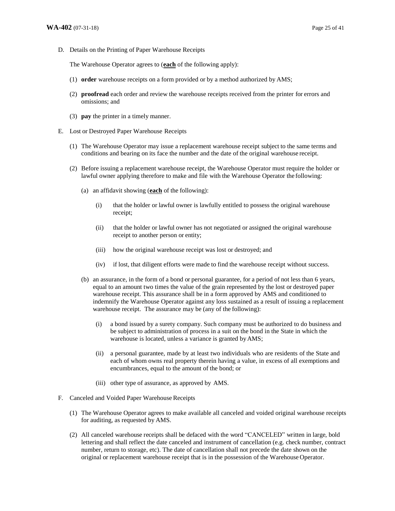D. Details on the Printing of Paper Warehouse Receipts

The Warehouse Operator agrees to (**each** of the following apply):

- (1) **order** warehouse receipts on a form provided or by a method authorized by AMS;
- (2) **proofread** each order and review the warehouse receipts received from the printer for errors and omissions; and
- (3) **pay** the printer in a timely manner.
- E. Lost or Destroyed Paper Warehouse Receipts
	- (1) The Warehouse Operator may issue a replacement warehouse receipt subject to the same terms and conditions and bearing on its face the number and the date of the original warehouse receipt.
	- (2) Before issuing a replacement warehouse receipt, the Warehouse Operator must require the holder or lawful owner applying therefore to make and file with the Warehouse Operator the following:
		- (a) an affidavit showing (**each** of the following):
			- (i) that the holder or lawful owner is lawfully entitled to possess the original warehouse receipt;
			- (ii) that the holder or lawful owner has not negotiated or assigned the original warehouse receipt to another person or entity;
			- (iii) how the original warehouse receipt was lost or destroyed; and
			- (iv) if lost, that diligent efforts were made to find the warehouse receipt without success.
		- (b) an assurance, in the form of a bond or personal guarantee, for a period of not less than 6 years, equal to an amount two times the value of the grain represented by the lost or destroyed paper warehouse receipt. This assurance shall be in a form approved by AMS and conditioned to indemnify the Warehouse Operator against any loss sustained as a result of issuing a replacement warehouse receipt. The assurance may be (any of the following):
			- (i) a bond issued by a surety company. Such company must be authorized to do business and be subject to administration of process in a suit on the bond in the State in which the warehouse is located, unless a variance is granted by AMS;
			- (ii) a personal guarantee, made by at least two individuals who are residents of the State and each of whom owns real property therein having a value, in excess of all exemptions and encumbrances, equal to the amount of the bond; or
			- (iii) other type of assurance, as approved by AMS.
- F. Canceled and Voided Paper Warehouse Receipts
	- (1) The Warehouse Operator agrees to make available all canceled and voided original warehouse receipts for auditing, as requested by AMS.
	- (2) All canceled warehouse receipts shall be defaced with the word "CANCELED" written in large, bold lettering and shall reflect the date canceled and instrument of cancellation (e.g. check number, contract number, return to storage, etc). The date of cancellation shall not precede the date shown on the original or replacement warehouse receipt that is in the possession of the Warehouse Operator.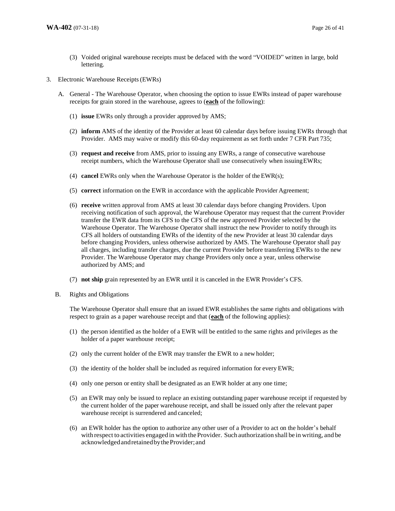- (3) Voided original warehouse receipts must be defaced with the word "VOIDED" written in large, bold lettering.
- 3. Electronic Warehouse Receipts (EWRs)
	- A. General The Warehouse Operator, when choosing the option to issue EWRs instead of paper warehouse receipts for grain stored in the warehouse, agrees to (**each** of the following):
		- (1) **issue** EWRs only through a provider approved by AMS;
		- (2) **inform** AMS of the identity of the Provider at least 60 calendar days before issuing EWRs through that Provider. AMS may waive or modify this 60-day requirement as set forth under 7 CFR Part 735;
		- (3) **request and receive** from AMS, prior to issuing any EWRs, a range of consecutive warehouse receipt numbers, which the Warehouse Operator shall use consecutively when issuing EWRs;
		- (4) **cancel** EWRs only when the Warehouse Operator is the holder of the EWR(s);
		- (5) **correct** information on the EWR in accordance with the applicable Provider Agreement;
		- (6) **receive** written approval from AMS at least 30 calendar days before changing Providers. Upon receiving notification of such approval, the Warehouse Operator may request that the current Provider transfer the EWR data from its CFS to the CFS of the new approved Provider selected by the Warehouse Operator. The Warehouse Operator shall instruct the new Provider to notify through its CFS all holders of outstanding EWRs of the identity of the new Provider at least 30 calendar days before changing Providers, unless otherwise authorized by AMS. The Warehouse Operator shall pay all charges, including transfer charges, due the current Provider before transferring EWRs to the new Provider. The Warehouse Operator may change Providers only once a year, unless otherwise authorized by AMS; and
		- (7) **not ship** grain represented by an EWR until it is canceled in the EWR Provider's CFS.
	- B. Rights and Obligations

The Warehouse Operator shall ensure that an issued EWR establishes the same rights and obligations with respect to grain as a paper warehouse receipt and that (**each** of the following applies):

- (1) the person identified as the holder of a EWR will be entitled to the same rights and privileges as the holder of a paper warehouse receipt;
- (2) only the current holder of the EWR may transfer the EWR to a new holder;
- (3) the identity of the holder shall be included as required information for every EWR;
- (4) only one person or entity shall be designated as an EWR holder at any one time;
- (5) an EWR may only be issued to replace an existing outstanding paper warehouse receipt if requested by the current holder of the paper warehouse receipt, and shall be issued only after the relevant paper warehouse receipt is surrendered and canceled;
- (6) an EWR holder has the option to authorize any other user of a Provider to act on the holder's behalf with respect to activities engaged in with the Provider. Such authorization shall be in writing, and be acknowledged and retained by the Provider; and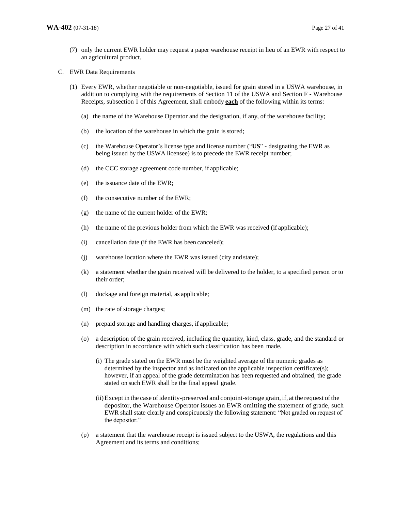- (7) only the current EWR holder may request a paper warehouse receipt in lieu of an EWR with respect to an agricultural product.
- C. EWR Data Requirements
	- (1) Every EWR, whether negotiable or non-negotiable, issued for grain stored in a USWA warehouse, in addition to complying with the requirements of Section 11 of the USWA and Section F - Warehouse Receipts, subsection 1 of this Agreement, shall embody **each** of the following within its terms:
		- (a) the name of the Warehouse Operator and the designation, if any, of the warehouse facility;
		- (b) the location of the warehouse in which the grain is stored;
		- (c) the Warehouse Operator's license type and license number ("**US**" designating the EWR as being issued by the USWA licensee) is to precede the EWR receipt number;
		- (d) the CCC storage agreement code number, if applicable;
		- (e) the issuance date of the EWR;
		- (f) the consecutive number of the EWR;
		- (g) the name of the current holder of the EWR;
		- (h) the name of the previous holder from which the EWR was received (if applicable);
		- (i) cancellation date (if the EWR has been canceled);
		- (j) warehouse location where the EWR was issued (city and state);
		- (k) a statement whether the grain received will be delivered to the holder, to a specified person or to their order;
		- (l) dockage and foreign material, as applicable;
		- (m) the rate of storage charges;
		- (n) prepaid storage and handling charges, if applicable;
		- (o) a description of the grain received, including the quantity, kind, class, grade, and the standard or description in accordance with which such classification has been made.
			- (i) The grade stated on the EWR must be the weighted average of the numeric grades as determined by the inspector and as indicated on the applicable inspection certificate(s); however, if an appeal of the grade determination has been requested and obtained, the grade stated on such EWR shall be the final appeal grade.
			- (ii)Except in the case of identity-preserved and conjoint-storage grain, if, at the request of the depositor, the Warehouse Operator issues an EWR omitting the statement of grade, such EWR shall state clearly and conspicuously the following statement: "Not graded on request of the depositor."
		- (p) a statement that the warehouse receipt is issued subject to the USWA, the regulations and this Agreement and its terms and conditions;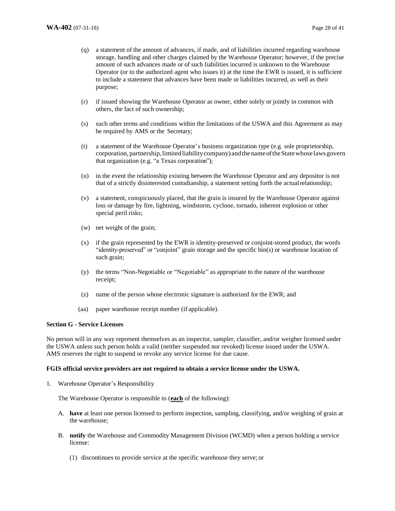- (q) a statement of the amount of advances, if made, and of liabilities incurred regarding warehouse storage, handling and other charges claimed by the Warehouse Operator; however, if the precise amount of such advances made or of such liabilities incurred is unknown to the Warehouse Operator (or to the authorized agent who issues it) at the time the EWR is issued, it is sufficient to include a statement that advances have been made or liabilities incurred, as well as their purpose;
- (r) if issued showing the Warehouse Operator as owner, either solely or jointly in common with others, the fact of such ownership;
- (s) such other terms and conditions within the limitations of the USWA and this Agreement as may be required by AMS or the Secretary;
- (t) a statement of the Warehouse Operator's business organization type (e.g. sole proprietorship, corporation, partnership, limited liability company) and the name of the State whose laws govern that organization (e.g. "a Texas corporation");
- (u) in the event the relationship existing between the Warehouse Operator and any depositor is not that of a strictly disinterested custodianship, a statement setting forth the actual relationship;
- (v) a statement, conspicuously placed, that the grain is insured by the Warehouse Operator against loss or damage by fire, lightning, windstorm, cyclone, tornado, inherent explosion or other special peril risks;
- (w) net weight of the grain;
- (x) if the grain represented by the EWR is identity-preserved or conjoint-stored product, the words "identity-preserved" or "conjoint" grain storage and the specific bin(s) or warehouse location of such grain;
- (y) the terms "Non-Negotiable or "Negotiable" as appropriate to the nature of the warehouse receipt;
- (z) name of the person whose electronic signature is authorized for the EWR; and
- (aa) paper warehouse receipt number (if applicable).

#### **Section G - Service Licenses**

No person will in any way represent themselves as an inspector, sampler, classifier, and/or weigher licensed under the USWA unless such person holds a valid (neither suspended nor revoked) license issued under the USWA. AMS reserves the right to suspend or revoke any service license for due cause.

#### **FGIS official service providers are not required to obtain a service license under the USWA.**

1. Warehouse Operator's Responsibility

The Warehouse Operator is responsible to (**each** of the following):

- A. **have** at least one person licensed to perform inspection, sampling, classifying, and/or weighing of grain at the warehouse;
- B. **notify** the Warehouse and Commodity Management Division (WCMD) when a person holding a service license:
	- (1) discontinues to provide service at the specific warehouse they serve; or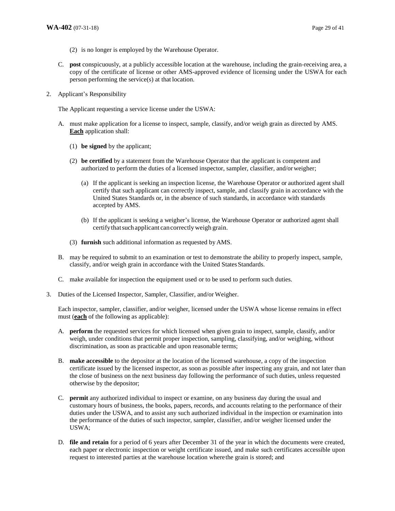- (2) is no longer is employed by the Warehouse Operator.
- C. **post** conspicuously, at a publicly accessible location at the warehouse, including the grain-receiving area, a copy of the certificate of license or other AMS-approved evidence of licensing under the USWA for each person performing the service(s) at that location.
- 2. Applicant's Responsibility

The Applicant requesting a service license under the USWA:

- A. must make application for a license to inspect, sample, classify, and/or weigh grain as directed by AMS. **Each** application shall:
	- (1) **be signed** by the applicant;
	- (2) **be certified** by a statement from the Warehouse Operator that the applicant is competent and authorized to perform the duties of a licensed inspector, sampler, classifier, and/or weigher;
		- (a) If the applicant is seeking an inspection license, the Warehouse Operator or authorized agent shall certify that such applicant can correctly inspect, sample, and classify grain in accordance with the United States Standards or, in the absence of such standards, in accordance with standards accepted by AMS.
		- (b) If the applicant is seeking a weigher's license, the Warehouse Operator or authorized agent shall certify that such applicant can correctly weigh grain.
	- (3) **furnish** such additional information as requested by AMS.
- B. may be required to submit to an examination or test to demonstrate the ability to properly inspect, sample, classify, and/or weigh grain in accordance with the United States Standards.
- C. make available for inspection the equipment used or to be used to perform such duties.
- 3. Duties of the Licensed Inspector, Sampler, Classifier, and/or Weigher.

Each inspector, sampler, classifier, and/or weigher, licensed under the USWA whose license remains in effect must (**each** of the following as applicable):

- A. **perform** the requested services for which licensed when given grain to inspect, sample, classify, and/or weigh, under conditions that permit proper inspection, sampling, classifying, and/or weighing, without discrimination, as soon as practicable and upon reasonable terms;
- B. **make accessible** to the depositor at the location of the licensed warehouse, a copy of the inspection certificate issued by the licensed inspector, as soon as possible after inspecting any grain, and not later than the close of business on the next business day following the performance of such duties, unless requested otherwise by the depositor;
- C. **permit** any authorized individual to inspect or examine, on any business day during the usual and customary hours of business, the books, papers, records, and accounts relating to the performance of their duties under the USWA, and to assist any such authorized individual in the inspection or examination into the performance of the duties of such inspector, sampler, classifier, and/or weigher licensed under the USWA;
- D. **file and retain** for a period of 6 years after December 31 of the year in which the documents were created, each paper or electronic inspection or weight certificate issued, and make such certificates accessible upon request to interested parties at the warehouse location where the grain is stored; and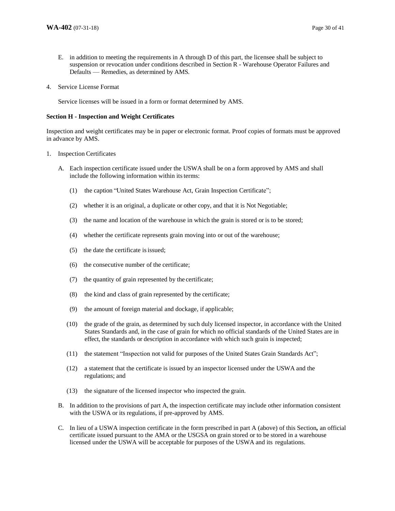- E. in addition to meeting the requirements in A through D of this part, the licensee shall be subject to suspension or revocation under conditions described in Section R - Warehouse Operator Failures and Defaults – Remedies, as determined by AMS*.*
- 4. Service License Format

Service licenses will be issued in a form or format determined by AMS.

## **Section H - Inspection and Weight Certificates**

Inspection and weight certificates may be in paper or electronic format. Proof copies of formats must be approved in advance by AMS.

#### 1. Inspection Certificates

- A. Each inspection certificate issued under the USWA shall be on a form approved by AMS and shall include the following information within its terms:
	- (1) the caption "United States Warehouse Act, Grain Inspection Certificate";
	- (2) whether it is an original, a duplicate or other copy, and that it is Not Negotiable;
	- (3) the name and location of the warehouse in which the grain is stored or is to be stored;
	- (4) whether the certificate represents grain moving into or out of the warehouse;
	- (5) the date the certificate is issued;
	- (6) the consecutive number of the certificate;
	- (7) the quantity of grain represented by the certificate;
	- (8) the kind and class of grain represented by the certificate;
	- (9) the amount of foreign material and dockage, if applicable;
	- (10) the grade of the grain, as determined by such duly licensed inspector, in accordance with the United States Standards and, in the case of grain for which no official standards of the United States are in effect, the standards or description in accordance with which such grain is inspected;
	- (11) the statement "Inspection not valid for purposes of the United States Grain Standards Act";
	- (12) a statement that the certificate is issued by an inspector licensed under the USWA and the regulations; and
	- (13) the signature of the licensed inspector who inspected the grain.
- B. In addition to the provisions of part A, the inspection certificate may include other information consistent with the USWA or its regulations, if pre-approved by AMS.
- C. In lieu of a USWA inspection certificate in the form prescribed in part A (above) of this Section*,* an official certificate issued pursuant to the AMA or the USGSA on grain stored or to be stored in a warehouse licensed under the USWA will be acceptable for purposes of the USWA and its regulations.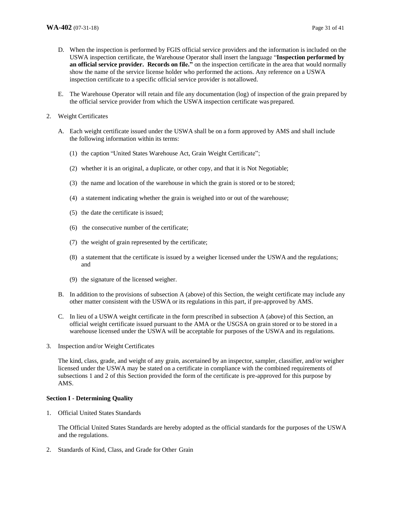- D. When the inspection is performed by FGIS official service providers and the information is included on the USWA inspection certificate, the Warehouse Operator shall insert the language "**Inspection performed by an official service provider. Records on file."** on the inspection certificate in the area that would normally show the name of the service license holder who performed the actions. Any reference on a USWA inspection certificate to a specific official service provider is not allowed.
- E. The Warehouse Operator will retain and file any documentation (log) of inspection of the grain prepared by the official service provider from which the USWA inspection certificate was prepared.
- 2. Weight Certificates
	- A. Each weight certificate issued under the USWA shall be on a form approved by AMS and shall include the following information within its terms:
		- (1) the caption "United States Warehouse Act, Grain Weight Certificate";
		- (2) whether it is an original, a duplicate, or other copy, and that it is Not Negotiable;
		- (3) the name and location of the warehouse in which the grain is stored or to be stored;
		- (4) a statement indicating whether the grain is weighed into or out of the warehouse;
		- (5) the date the certificate is issued;
		- (6) the consecutive number of the certificate;
		- (7) the weight of grain represented by the certificate;
		- (8) a statement that the certificate is issued by a weigher licensed under the USWA and the regulations; and
		- (9) the signature of the licensed weigher.
	- B. In addition to the provisions of subsection A (above) of this Section, the weight certificate may include any other matter consistent with the USWA or its regulations in this part, if pre-approved by AMS.
	- C. In lieu of a USWA weight certificate in the form prescribed in subsection A (above) of this Section, an official weight certificate issued pursuant to the AMA or the USGSA on grain stored or to be stored in a warehouse licensed under the USWA will be acceptable for purposes of the USWA and its regulations.
- 3. Inspection and/or Weight Certificates

The kind, class, grade, and weight of any grain, ascertained by an inspector, sampler, classifier, and/or weigher licensed under the USWA may be stated on a certificate in compliance with the combined requirements of subsections 1 and 2 of this Section provided the form of the certificate is pre-approved for this purpose by AMS.

## **Section I - Determining Quality**

1. Official United States Standards

The Official United States Standards are hereby adopted as the official standards for the purposes of the USWA and the regulations.

2. Standards of Kind, Class, and Grade for Other Grain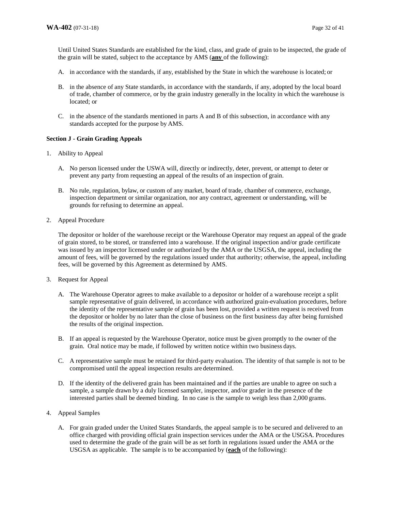Until United States Standards are established for the kind, class, and grade of grain to be inspected, the grade of the grain will be stated, subject to the acceptance by AMS (**any** of the following):

- A. in accordance with the standards, if any, established by the State in which the warehouse is located; or
- B. in the absence of any State standards, in accordance with the standards, if any, adopted by the local board of trade, chamber of commerce, or by the grain industry generally in the locality in which the warehouse is located; or
- C. in the absence of the standards mentioned in parts A and B of this subsection, in accordance with any standards accepted for the purpose by AMS.

## **Section J - Grain Grading Appeals**

- 1. Ability to Appeal
	- A. No person licensed under the USWA will, directly or indirectly, deter, prevent, or attempt to deter or prevent any party from requesting an appeal of the results of an inspection of grain.
	- B. No rule, regulation, bylaw, or custom of any market, board of trade, chamber of commerce, exchange, inspection department or similar organization, nor any contract, agreement or understanding, will be grounds for refusing to determine an appeal.
- 2. Appeal Procedure

The depositor or holder of the warehouse receipt or the Warehouse Operator may request an appeal of the grade of grain stored, to be stored, or transferred into a warehouse. If the original inspection and/or grade certificate was issued by an inspector licensed under or authorized by the AMA or the USGSA, the appeal, including the amount of fees, will be governed by the regulations issued under that authority; otherwise, the appeal, including fees, will be governed by this Agreement as determined by AMS.

- 3. Request for Appeal
	- A. The Warehouse Operator agrees to make available to a depositor or holder of a warehouse receipt a split sample representative of grain delivered, in accordance with authorized grain-evaluation procedures, before the identity of the representative sample of grain has been lost, provided a written request is received from the depositor or holder by no later than the close of business on the first business day after being furnished the results of the original inspection.
	- B. If an appeal is requested by the Warehouse Operator, notice must be given promptly to the owner of the grain. Oral notice may be made, if followed by written notice within two business days.
	- C. A representative sample must be retained for third-party evaluation. The identity of that sample is not to be compromised until the appeal inspection results are determined.
	- D. If the identity of the delivered grain has been maintained and if the parties are unable to agree on such a sample, a sample drawn by a duly licensed sampler, inspector, and/or grader in the presence of the interested parties shall be deemed binding. In no case is the sample to weigh less than 2,000 grams.
- 4. Appeal Samples
	- A. For grain graded under the United States Standards, the appeal sample is to be secured and delivered to an office charged with providing official grain inspection services under the AMA or the USGSA. Procedures used to determine the grade of the grain will be as set forth in regulations issued under the AMA or the USGSA as applicable. The sample is to be accompanied by (**each** of the following):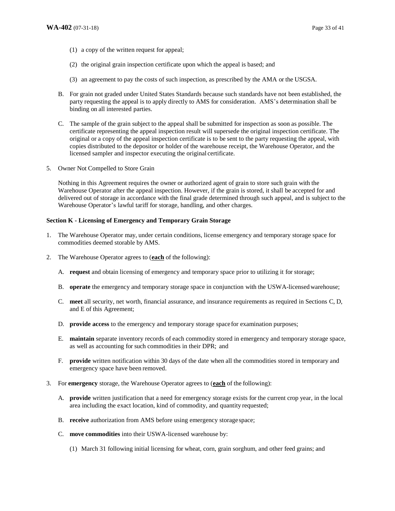- (1) a copy of the written request for appeal;
- (2) the original grain inspection certificate upon which the appeal is based; and
- (3) an agreement to pay the costs of such inspection, as prescribed by the AMA or the USGSA.
- B. For grain not graded under United States Standards because such standards have not been established, the party requesting the appeal is to apply directly to AMS for consideration. AMS's determination shall be binding on all interested parties.
- C. The sample of the grain subject to the appeal shall be submitted for inspection as soon as possible. The certificate representing the appeal inspection result will supersede the original inspection certificate. The original or a copy of the appeal inspection certificate is to be sent to the party requesting the appeal, with copies distributed to the depositor or holder of the warehouse receipt, the Warehouse Operator, and the licensed sampler and inspector executing the original certificate.
- 5. Owner Not Compelled to Store Grain

Nothing in this Agreement requires the owner or authorized agent of grain to store such grain with the Warehouse Operator after the appeal inspection. However, if the grain is stored, it shall be accepted for and delivered out of storage in accordance with the final grade determined through such appeal, and is subject to the Warehouse Operator's lawful tariff for storage, handling, and other charges.

## **Section K - Licensing of Emergency and Temporary Grain Storage**

- 1. The Warehouse Operator may, under certain conditions, license emergency and temporary storage space for commodities deemed storable by AMS.
- 2. The Warehouse Operator agrees to (**each** of the following):
	- A. **request** and obtain licensing of emergency and temporary space prior to utilizing it for storage;
	- B. **operate** the emergency and temporary storage space in conjunction with the USWA-licensed warehouse;
	- C. **meet** all security, net worth, financial assurance, and insurance requirements as required in Sections C, D, and E of this Agreement;
	- D. **provide access** to the emergency and temporary storage space for examination purposes;
	- E. **maintain** separate inventory records of each commodity stored in emergency and temporary storage space, as well as accounting for such commodities in their DPR; and
	- F. **provide** written notification within 30 days of the date when all the commodities stored in temporary and emergency space have been removed.
- 3. For **emergency** storage, the Warehouse Operator agrees to (**each** of the following):
	- A. **provide** written justification that a need for emergency storage exists for the current crop year, in the local area including the exact location, kind of commodity, and quantity requested;
	- B. **receive** authorization from AMS before using emergency storage space;
	- C. **move commodities** into their USWA-licensed warehouse by:
		- (1) March 31 following initial licensing for wheat, corn, grain sorghum, and other feed grains; and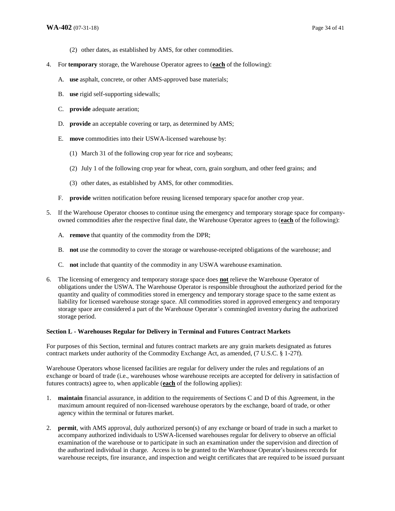- (2) other dates, as established by AMS, for other commodities.
- 4. For **temporary** storage, the Warehouse Operator agrees to (**each** of the following):
	- A. **use** asphalt, concrete, or other AMS-approved base materials;
	- B. **use** rigid self-supporting sidewalls;
	- C. **provide** adequate aeration;
	- D. **provide** an acceptable covering or tarp, as determined by AMS;
	- E. **move** commodities into their USWA-licensed warehouse by:
		- (1) March 31 of the following crop year for rice and soybeans;
		- (2) July 1 of the following crop year for wheat, corn, grain sorghum, and other feed grains; and
		- (3) other dates, as established by AMS, for other commodities.
	- F. **provide** written notification before reusing licensed temporary space for another crop year.
- 5. If the Warehouse Operator chooses to continue using the emergency and temporary storage space for companyowned commodities after the respective final date, the Warehouse Operator agrees to (**each** of the following):
	- A. **remove** that quantity of the commodity from the DPR;
	- B. **not** use the commodity to cover the storage or warehouse-receipted obligations of the warehouse; and
	- C. **not** include that quantity of the commodity in any USWA warehouse examination.
- 6. The licensing of emergency and temporary storage space does **not** relieve the Warehouse Operator of obligations under the USWA. The Warehouse Operator is responsible throughout the authorized period for the quantity and quality of commodities stored in emergency and temporary storage space to the same extent as liability for licensed warehouse storage space. All commodities stored in approved emergency and temporary storage space are considered a part of the Warehouse Operator's commingled inventory during the authorized storage period.

#### **Section L - Warehouses Regular for Delivery in Terminal and Futures Contract Markets**

For purposes of this Section, terminal and futures contract markets are any grain markets designated as futures contract markets under authority of the Commodity Exchange Act, as amended, (7 U.S.C. § 1-27f).

Warehouse Operators whose licensed facilities are regular for delivery under the rules and regulations of an exchange or board of trade (i.e., warehouses whose warehouse receipts are accepted for delivery in satisfaction of futures contracts) agree to, when applicable (**each** of the following applies):

- 1. **maintain** financial assurance, in addition to the requirements of Sections C and D of this Agreement, in the maximum amount required of non-licensed warehouse operators by the exchange, board of trade, or other agency within the terminal or futures market.
- 2. **permit**, with AMS approval, duly authorized person(s) of any exchange or board of trade in such a market to accompany authorized individuals to USWA-licensed warehouses regular for delivery to observe an official examination of the warehouse or to participate in such an examination under the supervision and direction of the authorized individual in charge. Access is to be granted to the Warehouse Operator's business records for warehouse receipts, fire insurance, and inspection and weight certificates that are required to be issued pursuant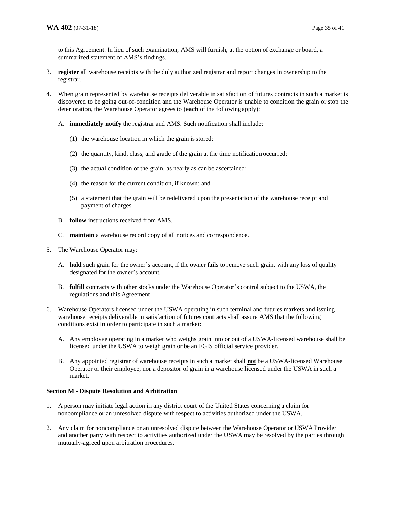to this Agreement. In lieu of such examination, AMS will furnish, at the option of exchange or board, a summarized statement of AMS's findings.

- 3. **register** all warehouse receipts with the duly authorized registrar and report changes in ownership to the registrar.
- 4. When grain represented by warehouse receipts deliverable in satisfaction of futures contracts in such a market is discovered to be going out-of-condition and the Warehouse Operator is unable to condition the grain or stop the deterioration, the Warehouse Operator agrees to (**each** of the following apply):
	- A. **immediately notify** the registrar and AMS. Such notification shall include:
		- (1) the warehouse location in which the grain is stored;
		- (2) the quantity, kind, class, and grade of the grain at the time notification occurred;
		- (3) the actual condition of the grain, as nearly as can be ascertained;
		- (4) the reason for the current condition, if known; and
		- (5) a statement that the grain will be redelivered upon the presentation of the warehouse receipt and payment of charges.
	- B. **follow** instructions received from AMS.
	- C. **maintain** a warehouse record copy of all notices and correspondence.
- 5. The Warehouse Operator may:
	- A. **hold** such grain for the owner's account, if the owner fails to remove such grain, with any loss of quality designated for the owner's account.
	- B. **fulfill** contracts with other stocks under the Warehouse Operator's control subject to the USWA, the regulations and this Agreement.
- 6. Warehouse Operators licensed under the USWA operating in such terminal and futures markets and issuing warehouse receipts deliverable in satisfaction of futures contracts shall assure AMS that the following conditions exist in order to participate in such a market:
	- A. Any employee operating in a market who weighs grain into or out of a USWA-licensed warehouse shall be licensed under the USWA to weigh grain or be an FGIS official service provider.
	- B. Any appointed registrar of warehouse receipts in such a market shall **not** be a USWA-licensed Warehouse Operator or their employee, nor a depositor of grain in a warehouse licensed under the USWA in such a market.

## **Section M - Dispute Resolution and Arbitration**

- 1. A person may initiate legal action in any district court of the United States concerning a claim for noncompliance or an unresolved dispute with respect to activities authorized under the USWA.
- 2. Any claim for noncompliance or an unresolved dispute between the Warehouse Operator or USWA Provider and another party with respect to activities authorized under the USWA may be resolved by the parties through mutually-agreed upon arbitration procedures.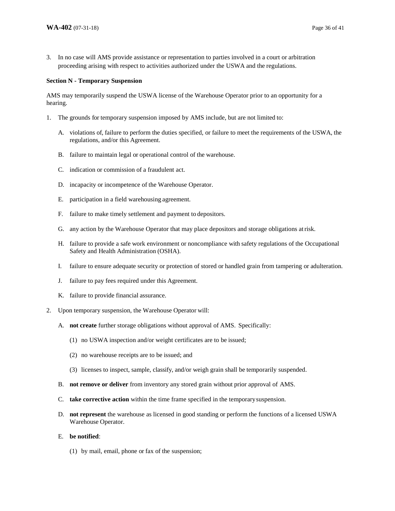3. In no case will AMS provide assistance or representation to parties involved in a court or arbitration proceeding arising with respect to activities authorized under the USWA and the regulations.

#### **Section N - Temporary Suspension**

AMS may temporarily suspend the USWA license of the Warehouse Operator prior to an opportunity for a hearing.

- 1. The grounds for temporary suspension imposed by AMS include, but are not limited to:
	- A. violations of, failure to perform the duties specified, or failure to meet the requirements of the USWA, the regulations, and/or this Agreement.
	- B. failure to maintain legal or operational control of the warehouse.
	- C. indication or commission of a fraudulent act.
	- D. incapacity or incompetence of the Warehouse Operator.
	- E. participation in a field warehousing agreement.
	- F. failure to make timely settlement and payment to depositors.
	- G. any action by the Warehouse Operator that may place depositors and storage obligations at risk.
	- H. failure to provide a safe work environment or noncompliance with safety regulations of the Occupational Safety and Health Administration (OSHA).
	- I. failure to ensure adequate security or protection of stored or handled grain from tampering or adulteration.
	- J. failure to pay fees required under this Agreement.
	- K. failure to provide financial assurance.
- 2. Upon temporary suspension, the Warehouse Operator will:
	- A. **not create** further storage obligations without approval of AMS. Specifically:
		- (1) no USWA inspection and/or weight certificates are to be issued;
		- (2) no warehouse receipts are to be issued; and
		- (3) licenses to inspect, sample, classify, and/or weigh grain shall be temporarily suspended.
	- B. **not remove or deliver** from inventory any stored grain without prior approval of AMS.
	- C. **take corrective action** within the time frame specified in the temporary suspension.
	- D. **not represent** the warehouse as licensed in good standing or perform the functions of a licensed USWA Warehouse Operator.
	- E. **be notified**:
		- (1) by mail, email, phone or fax of the suspension;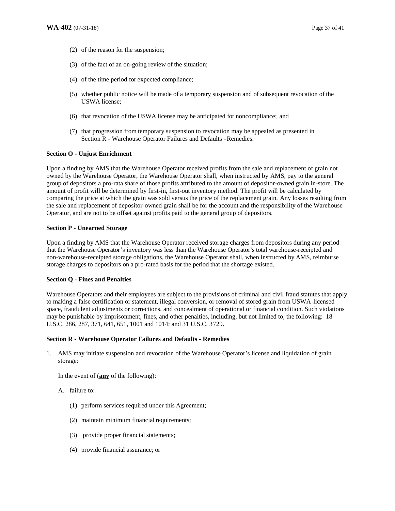- (2) of the reason for the suspension;
- (3) of the fact of an on-going review of the situation;
- (4) of the time period for expected compliance;
- (5) whether public notice will be made of a temporary suspension and of subsequent revocation of the USWA license;
- (6) that revocation of the USWA license may be anticipated for noncompliance; and
- (7) that progression from temporary suspension to revocation may be appealed as presented in Section R - Warehouse Operator Failures and Defaults - Remedies.

#### **Section O - Unjust Enrichment**

Upon a finding by AMS that the Warehouse Operator received profits from the sale and replacement of grain not owned by the Warehouse Operator, the Warehouse Operator shall, when instructed by AMS, pay to the general group of depositors a pro-rata share of those profits attributed to the amount of depositor-owned grain in-store. The amount of profit will be determined by first-in, first-out inventory method. The profit will be calculated by comparing the price at which the grain was sold versus the price of the replacement grain. Any losses resulting from the sale and replacement of depositor-owned grain shall be for the account and the responsibility of the Warehouse Operator, and are not to be offset against profits paid to the general group of depositors.

#### **Section P - Unearned Storage**

Upon a finding by AMS that the Warehouse Operator received storage charges from depositors during any period that the Warehouse Operator's inventory was less than the Warehouse Operator's total warehouse-receipted and non-warehouse-receipted storage obligations, the Warehouse Operator shall, when instructed by AMS, reimburse storage charges to depositors on a pro-rated basis for the period that the shortage existed.

#### **Section Q - Fines and Penalties**

Warehouse Operators and their employees are subject to the provisions of criminal and civil fraud statutes that apply to making a false certification or statement, illegal conversion, or removal of stored grain from USWA-licensed space, fraudulent adjustments or corrections, and concealment of operational or financial condition. Such violations may be punishable by imprisonment, fines, and other penalties, including, but not limited to, the following: 18 U.S.C. 286, 287, 371, 641, 651, 1001 and 1014; and 31 U.S.C. 3729.

#### **Section R - Warehouse Operator Failures and Defaults - Remedies**

1. AMS may initiate suspension and revocation of the Warehouse Operator's license and liquidation of grain storage:

In the event of (**any** of the following):

- A. failure to:
	- (1) perform services required under this Agreement;
	- (2) maintain minimum financial requirements;
	- (3) provide proper financial statements;
	- (4) provide financial assurance; or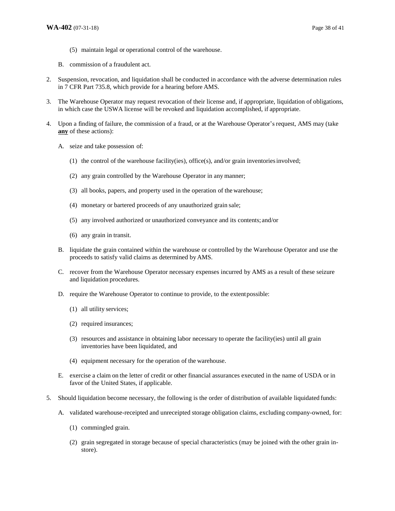- (5) maintain legal or operational control of the warehouse.
- B. commission of a fraudulent act.
- 2. Suspension, revocation, and liquidation shall be conducted in accordance with the adverse determination rules in 7 CFR Part 735.8, which provide for a hearing before AMS.
- 3. The Warehouse Operator may request revocation of their license and, if appropriate, liquidation of obligations, in which case the USWA license will be revoked and liquidation accomplished, if appropriate.
- 4. Upon a finding of failure, the commission of a fraud, or at the Warehouse Operator's request, AMS may (take **any** of these actions):
	- A. seize and take possession of:
		- (1) the control of the warehouse facility(ies), office(s), and/or grain inventories involved;
		- (2) any grain controlled by the Warehouse Operator in any manner;
		- (3) all books, papers, and property used in the operation of the warehouse;
		- (4) monetary or bartered proceeds of any unauthorized grain sale;
		- (5) any involved authorized or unauthorized conveyance and its contents; and/or
		- (6) any grain in transit.
	- B. liquidate the grain contained within the warehouse or controlled by the Warehouse Operator and use the proceeds to satisfy valid claims as determined by AMS.
	- C. recover from the Warehouse Operator necessary expenses incurred by AMS as a result of these seizure and liquidation procedures.
	- D. require the Warehouse Operator to continue to provide, to the extent possible:
		- (1) all utility services;
		- (2) required insurances;
		- (3) resources and assistance in obtaining labor necessary to operate the facility(ies) until all grain inventories have been liquidated, and
		- (4) equipment necessary for the operation of the warehouse.
	- E. exercise a claim on the letter of credit or other financial assurances executed in the name of USDA or in favor of the United States, if applicable.
- 5. Should liquidation become necessary, the following is the order of distribution of available liquidated funds:
	- A. validated warehouse-receipted and unreceipted storage obligation claims, excluding company-owned, for:
		- (1) commingled grain.
		- (2) grain segregated in storage because of special characteristics (may be joined with the other grain instore).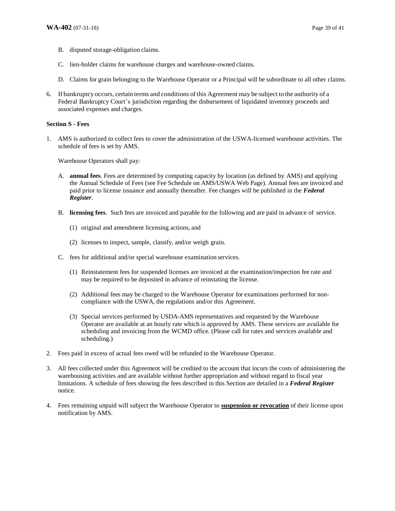- B. disputed storage-obligation claims.
- C. lien-holder claims for warehouse charges and warehouse-owned claims.
- D. Claims for grain belonging to the Warehouse Operator or a Principal will be subordinate to all other claims.
- 6. If bankruptcy occurs, certain terms and conditions of this Agreement may be subject to the authority of a Federal Bankruptcy Court's jurisdiction regarding the disbursement of liquidated inventory proceeds and associated expenses and charges.

#### **Section S - Fees**

1. AMS is authorized to collect fees to cover the administration of the USWA-licensed warehouse activities. The schedule of fees is set by AMS.

Warehouse Operators shall pay:

- A. **annual fees**. Fees are determined by computing capacity by location (as defined by AMS) and applying the Annual Schedule of Fees (see Fee Schedule on AMS/USWA Web Page). Annual fees are invoiced and paid prior to license issuance and annually thereafter. Fee changes will be published in the *Federal Register*.
- B. **licensing fees**. Such fees are invoiced and payable for the following and are paid in advance of service.
	- (1) original and amendment licensing actions, and
	- (2) licenses to inspect, sample, classify, and/or weigh grain.
- C. fees for additional and/or special warehouse examination services.
	- (1) Reinstatement fees for suspended licenses are invoiced at the examination/inspection fee rate and may be required to be deposited in advance of reinstating the license.
	- (2) Additional fees may be charged to the Warehouse Operator for examinations performed for noncompliance with the USWA, the regulations and/or this Agreement.
	- (3) Special services performed by USDA-AMS representatives and requested by the Warehouse Operator are available at an hourly rate which is approved by AMS. These services are available for scheduling and invoicing from the WCMD office. (Please call for rates and services available and scheduling.)
- 2. Fees paid in excess of actual fees owed will be refunded to the Warehouse Operator.
- 3. All fees collected under this Agreement will be credited to the account that incurs the costs of administering the warehousing activities and are available without further appropriation and without regard to fiscal year limitations. A schedule of fees showing the fees described in this Section are detailed in a *Federal Register*  notice.
- 4. Fees remaining unpaid will subject the Warehouse Operator to **suspension or revocation** of their license upon notification by AMS.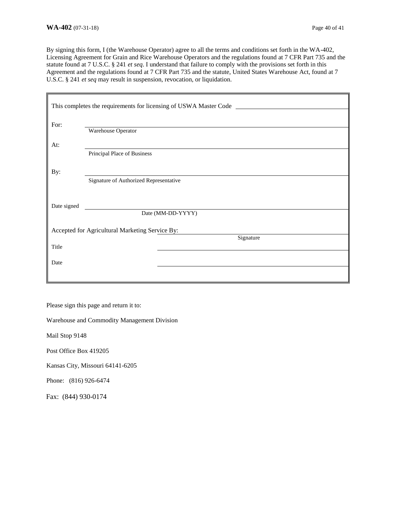By signing this form, I (the Warehouse Operator) agree to all the terms and conditions set forth in the WA-402, Licensing Agreement for Grain and Rice Warehouse Operators and the regulations found at 7 CFR Part 735 and the statute found at 7 U.S.C. § 241 *et seq*. I understand that failure to comply with the provisions set forth in this Agreement and the regulations found at 7 CFR Part 735 and the statute, United States Warehouse Act, found at 7 U.S.C. § 241 *et seq* may result in suspension, revocation, or liquidation.

| This completes the requirements for licensing of USWA Master Code _______________ |                                        |  |  |  |
|-----------------------------------------------------------------------------------|----------------------------------------|--|--|--|
| For:                                                                              |                                        |  |  |  |
|                                                                                   | Warehouse Operator                     |  |  |  |
| At:                                                                               |                                        |  |  |  |
|                                                                                   | Principal Place of Business            |  |  |  |
| By:                                                                               |                                        |  |  |  |
|                                                                                   | Signature of Authorized Representative |  |  |  |
|                                                                                   |                                        |  |  |  |
| Date signed                                                                       |                                        |  |  |  |
|                                                                                   | Date (MM-DD-YYYY)                      |  |  |  |
| Accepted for Agricultural Marketing Service By:                                   |                                        |  |  |  |
|                                                                                   | Signature                              |  |  |  |
| Title                                                                             |                                        |  |  |  |
| Date                                                                              |                                        |  |  |  |
|                                                                                   |                                        |  |  |  |

Please sign this page and return it to:

Warehouse and Commodity Management Division

Mail Stop 9148

Post Office Box 419205

Kansas City, Missouri 64141-6205

Phone: (816) 926-6474

Fax: (844) 930-0174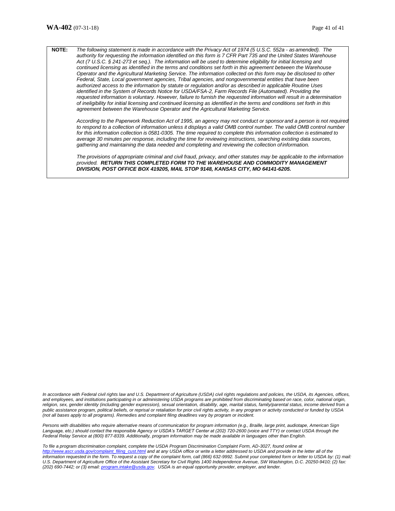**NOTE:** *The following statement is made in accordance with the Privacy Act of 1974 (5 U.S.C. 552a - as amended). The authority for requesting the information identified on this form is 7 CFR Part 735 and the United States Warehouse Act (7 U.S.C. § 241-273 et seq.). The information will be used to determine eligibility for initial licensing and continued licensing as identified in the terms and conditions set forth in this agreement between the Warehouse Operator and the Agricultural Marketing Service. The information collected on this form may be disclosed to other Federal, State, Local government agencies, Tribal agencies, and nongovernmental entities that have been authorized access to the information by statute or regulation and/or as described in applicable Routine Uses identified in the System of Records Notice for USDA/FSA-2, Farm Records File (Automated). Providing the requested information is voluntary. However, failure to furnish the requested information will result in a determination of ineligibility for initial licensing and continued licensing as identified in the terms and conditions set forth in this agreement between the Warehouse Operator and the Agricultural Marketing Service.* 

*According to the Paperwork Reduction Act of 1995, an agency may not conduct or sponsor and a person is not required*  to respond to a collection of information unless it displays a valid OMB control number. The valid OMB control number *for this information collection is 0581-0305. The time required to complete this information collection is estimated to average 30 minutes per response, including the time for reviewing instructions, searching existing data sources, gathering and maintaining the data needed and completing and reviewing the collection of information.* 

*The provisions of appropriate criminal and civil fraud, privacy, and other statutes may be applicable to the information provided. RETURN THIS COMPLETED FORM TO THE WAREHOUSE AND COMMODITY MANAGEMENT DIVISION, POST OFFICE BOX 419205, MAIL STOP 9148, KANSAS CITY, MO 64141-6205.*

*In accordance with Federal civil rights law and U.S. Department of Agriculture (USDA) civil rights regulations and policies, the USDA, its Agencies, offices, and employees, and institutions participating in or administering USDA programs are prohibited from discriminating based on race, color, national origin,*  religion, sex, gender identity (including gender expression), sexual orientation, disability, age, marital status, family/parental status, income derived from a *public assistance program, political beliefs, or reprisal or retaliation for prior civil rights activity, in any program or activity conducted or funded by USDA (not all bases apply to all programs). Remedies and complaint filing deadlines vary by program or incident.* 

*Persons with disabilities who require alternative means of communication for program information (e.g., Braille, large print, audiotape, American Sign*  Language, etc.) should contact the responsible Agency or USDA's TARGET Center at (202) 720-2600 (voice and TTY) or contact USDA through the *Federal Relay Service at (800) 877-8339. Additionally, program information may be made available in languages other than English.* 

*To file a program discrimination complaint, complete the USDA Program Discrimination Complaint Form, AD-3027, found online at*  [http://www.ascr.usda.gov/complaint\\_filing\\_cust.html](http://www.ascr.usda.gov/complaint_filing_cust.html) and at any USDA office or write a letter addressed to USDA and provide in the letter all of the *information requested in the form. To request a copy of the complaint form, call (866) 632-9992. Submit your completed form or letter to USDA by: (1) mail: U.S. Department of Agriculture Office of the Assistant Secretary for Civil Rights 1400 Independence Avenue, SW Washington, D.C. 20250-9410; (2) fax: (202) 690-7442; or (3) email: program.intake@usda.gov. USDA is an equal opportunity provider, employer, and lender.*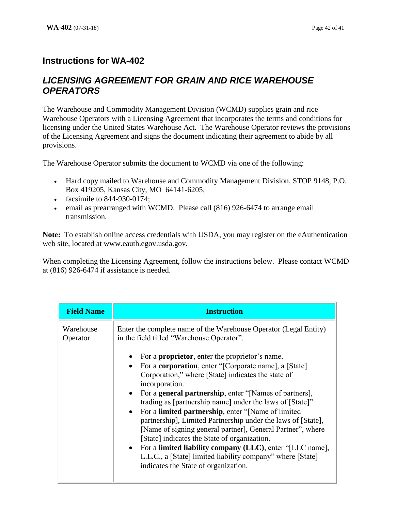# **Instructions for WA-402**

## *LICENSING AGREEMENT FOR GRAIN AND RICE WAREHOUSE OPERATORS*

The Warehouse and Commodity Management Division (WCMD) supplies grain and rice Warehouse Operators with a Licensing Agreement that incorporates the terms and conditions for licensing under the United States Warehouse Act. The Warehouse Operator reviews the provisions of the Licensing Agreement and signs the document indicating their agreement to abide by all provisions.

The Warehouse Operator submits the document to WCMD via one of the following:

- Hard copy mailed to Warehouse and Commodity Management Division, STOP 9148, P.O. Box 419205, Kansas City, MO 64141-6205;
- facsimile to 844-930-0174;
- email as prearranged with WCMD. Please call (816) 926-6474 to arrange email transmission.

**Note:** To establish online access credentials with USDA, you may register on the eAuthentication web site, located at www.eauth.egov.usda.gov.

When completing the Licensing Agreement, follow the instructions below. Please contact WCMD at (816) 926-6474 if assistance is needed.

| <b>Field Name</b>     | <b>Instruction</b>                                                                                                                                                                                                                                                                                                                                                                                                                                                                                                                                                                                                                                                                                                                                                       |
|-----------------------|--------------------------------------------------------------------------------------------------------------------------------------------------------------------------------------------------------------------------------------------------------------------------------------------------------------------------------------------------------------------------------------------------------------------------------------------------------------------------------------------------------------------------------------------------------------------------------------------------------------------------------------------------------------------------------------------------------------------------------------------------------------------------|
| Warehouse<br>Operator | Enter the complete name of the Warehouse Operator (Legal Entity)<br>in the field titled "Warehouse Operator".                                                                                                                                                                                                                                                                                                                                                                                                                                                                                                                                                                                                                                                            |
|                       | For a <b>proprietor</b> , enter the proprietor's name.<br>For a <b>corporation</b> , enter "[Corporate name], a [State]<br>Corporation," where [State] indicates the state of<br>incorporation.<br>For a <b>general partnership</b> , enter "[Names of partners],<br>$\bullet$<br>trading as [partnership name] under the laws of [State]"<br>For a <b>limited partnership</b> , enter "[Name of limited<br>$\bullet$<br>partnership], Limited Partnership under the laws of [State],<br>[Name of signing general partner], General Partner", where<br>[State] indicates the State of organization.<br>• For a limited liability company (LLC), enter "[LLC name],<br>L.L.C., a [State] limited liability company" where [State]<br>indicates the State of organization. |